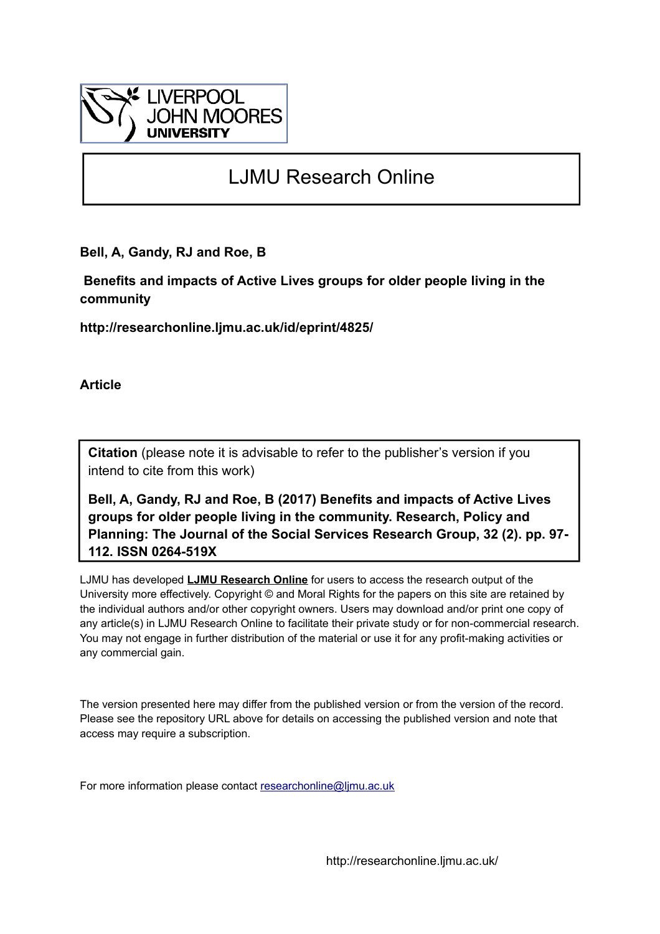

# LJMU Research Online

**Bell, A, Gandy, RJ and Roe, B**

 **Benefits and impacts of Active Lives groups for older people living in the community**

**http://researchonline.ljmu.ac.uk/id/eprint/4825/**

**Article**

**Citation** (please note it is advisable to refer to the publisher's version if you intend to cite from this work)

**Bell, A, Gandy, RJ and Roe, B (2017) Benefits and impacts of Active Lives groups for older people living in the community. Research, Policy and Planning: The Journal of the Social Services Research Group, 32 (2). pp. 97- 112. ISSN 0264-519X** 

LJMU has developed **[LJMU Research Online](http://researchonline.ljmu.ac.uk/)** for users to access the research output of the University more effectively. Copyright © and Moral Rights for the papers on this site are retained by the individual authors and/or other copyright owners. Users may download and/or print one copy of any article(s) in LJMU Research Online to facilitate their private study or for non-commercial research. You may not engage in further distribution of the material or use it for any profit-making activities or any commercial gain.

The version presented here may differ from the published version or from the version of the record. Please see the repository URL above for details on accessing the published version and note that access may require a subscription.

For more information please contact [researchonline@ljmu.ac.uk](mailto:researchonline@ljmu.ac.uk)

http://researchonline.ljmu.ac.uk/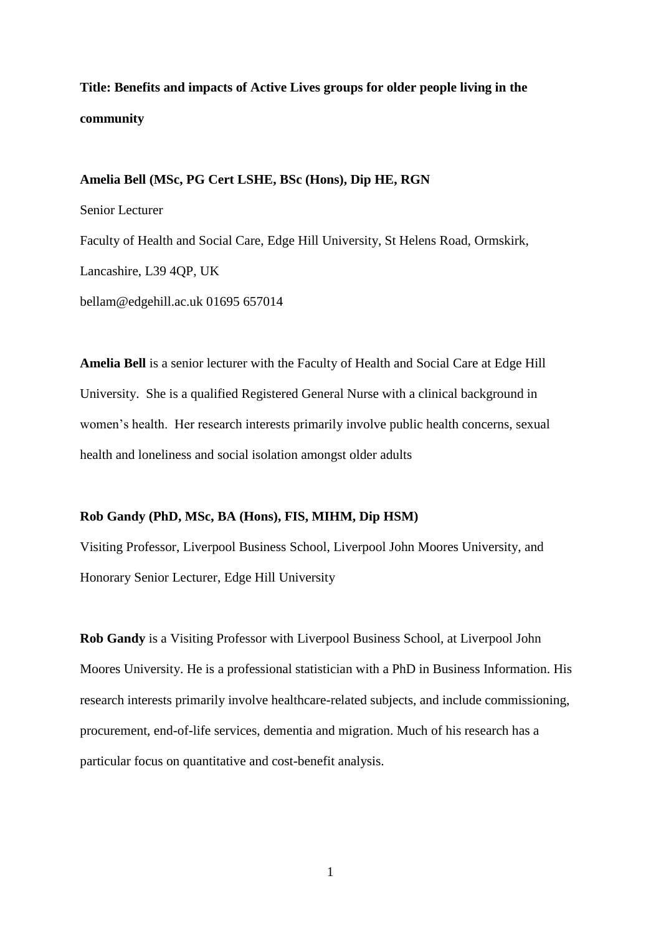# **Title: Benefits and impacts of Active Lives groups for older people living in the community**

#### **Amelia Bell (MSc, PG Cert LSHE, BSc (Hons), Dip HE, RGN**

Senior Lecturer Faculty of Health and Social Care, Edge Hill University, St Helens Road, Ormskirk, Lancashire, L39 4QP, UK bellam@edgehill.ac.uk 01695 657014

**Amelia Bell** is a senior lecturer with the Faculty of Health and Social Care at Edge Hill University. She is a qualified Registered General Nurse with a clinical background in women's health. Her research interests primarily involve public health concerns, sexual health and loneliness and social isolation amongst older adults

#### **Rob Gandy (PhD, MSc, BA (Hons), FIS, MIHM, Dip HSM)**

Visiting Professor, Liverpool Business School, Liverpool John Moores University, and Honorary Senior Lecturer, Edge Hill University

**Rob Gandy** is a Visiting Professor with Liverpool Business School, at Liverpool John Moores University. He is a professional statistician with a PhD in Business Information. His research interests primarily involve healthcare-related subjects, and include commissioning, procurement, end-of-life services, dementia and migration. Much of his research has a particular focus on quantitative and cost-benefit analysis.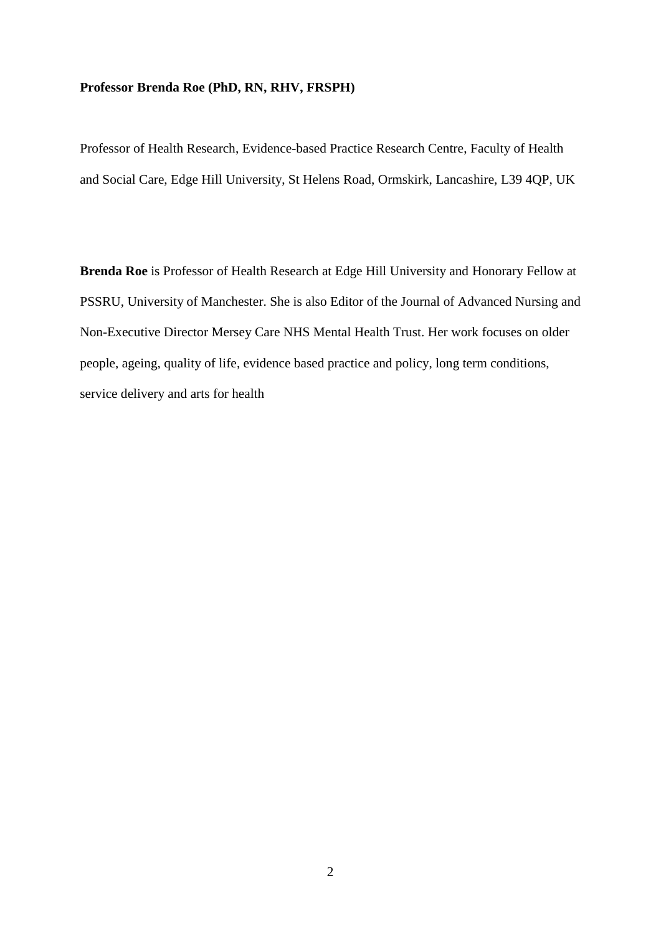#### **Professor Brenda Roe (PhD, RN, RHV, FRSPH)**

Professor of Health Research, Evidence-based Practice Research Centre, Faculty of Health and Social Care, Edge Hill University, St Helens Road, Ormskirk, Lancashire, L39 4QP, UK

**Brenda Roe** is Professor of Health Research at Edge Hill University and Honorary Fellow at PSSRU, University of Manchester. She is also Editor of the Journal of Advanced Nursing and Non-Executive Director Mersey Care NHS Mental Health Trust. Her work focuses on [older](http://repository.edgehill.ac.uk/view/user_expertise/Older_people,_ageing,_quality_of_life.html)  [people, ageing, quality of life,](http://repository.edgehill.ac.uk/view/user_expertise/Older_people,_ageing,_quality_of_life.html) [evidence based practice and policy,](http://repository.edgehill.ac.uk/view/user_expertise/Evidence_based_practice_and_policy.html) long term conditions, service delivery and arts for health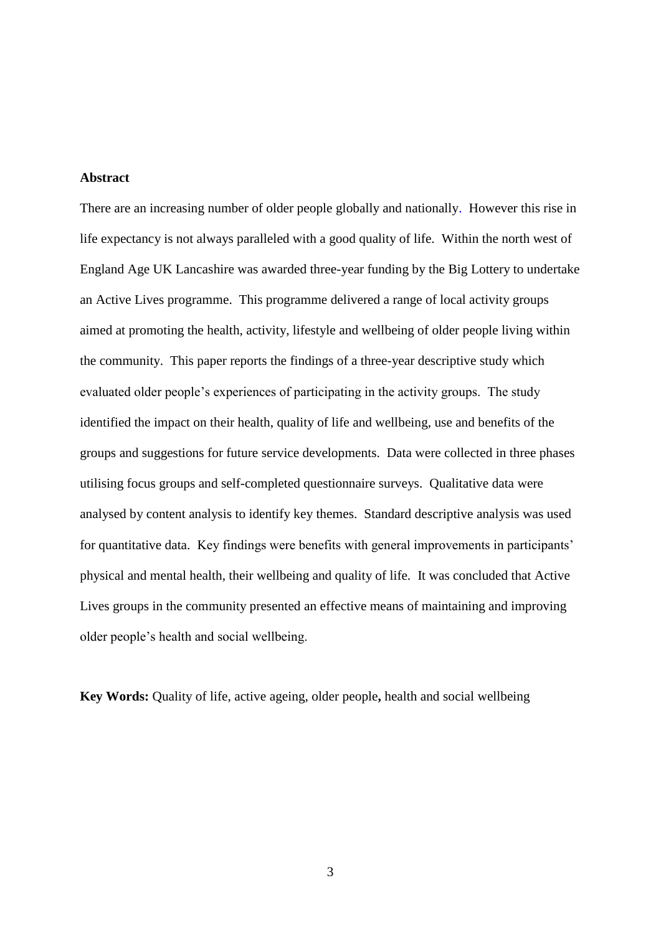#### **Abstract**

There are an increasing number of older people globally and nationally. However this rise in life expectancy is not always paralleled with a good quality of life. Within the north west of England Age UK Lancashire was awarded three-year funding by the Big Lottery to undertake an Active Lives programme. This programme delivered a range of local activity groups aimed at promoting the health, activity, lifestyle and wellbeing of older people living within the community. This paper reports the findings of a three-year descriptive study which evaluated older people's experiences of participating in the activity groups. The study identified the impact on their health, quality of life and wellbeing, use and benefits of the groups and suggestions for future service developments. Data were collected in three phases utilising focus groups and self-completed questionnaire surveys. Qualitative data were analysed by content analysis to identify key themes. Standard descriptive analysis was used for quantitative data. Key findings were benefits with general improvements in participants' physical and mental health, their wellbeing and quality of life. It was concluded that Active Lives groups in the community presented an effective means of maintaining and improving older people's health and social wellbeing.

**Key Words:** Quality of life, active ageing, older people**,** health and social wellbeing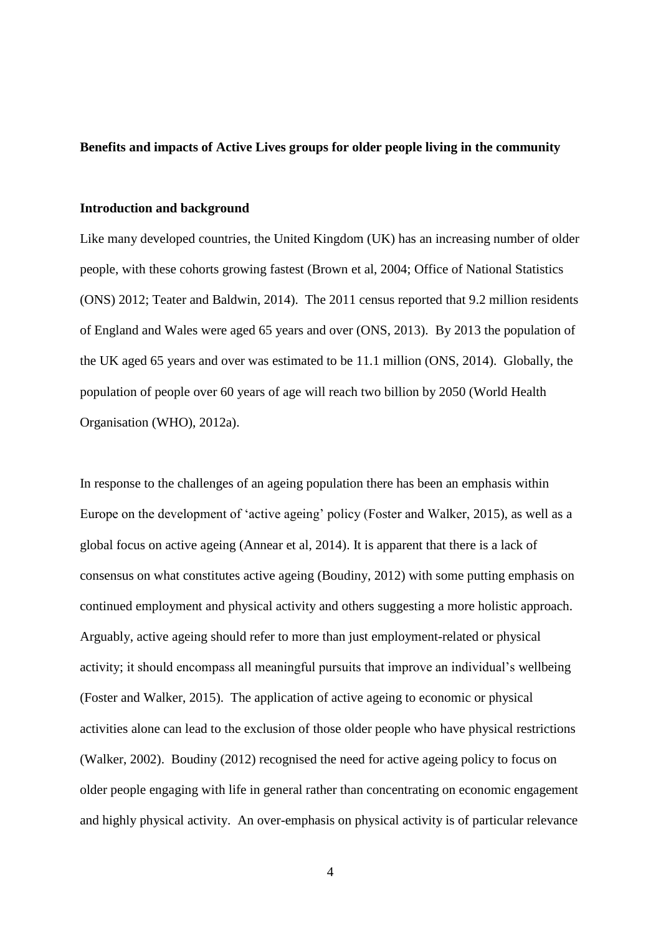#### **Benefits and impacts of Active Lives groups for older people living in the community**

#### **Introduction and background**

Like many developed countries, the United Kingdom (UK) has an increasing number of older people, with these cohorts growing fastest (Brown et al, 2004; Office of National Statistics (ONS) 2012; Teater and Baldwin, 2014). The 2011 census reported that 9.2 million residents of England and Wales were aged 65 years and over (ONS, 2013). By 2013 the population of the UK aged 65 years and over was estimated to be 11.1 million (ONS, 2014). Globally, the population of people over 60 years of age will reach two billion by 2050 (World Health Organisation (WHO), 2012a).

In response to the challenges of an ageing population there has been an emphasis within Europe on the development of 'active ageing' policy (Foster and Walker, 2015), as well as a global focus on active ageing (Annear et al, 2014). It is apparent that there is a lack of consensus on what constitutes active ageing (Boudiny, 2012) with some putting emphasis on continued employment and physical activity and others suggesting a more holistic approach. Arguably, active ageing should refer to more than just employment-related or physical activity; it should encompass all meaningful pursuits that improve an individual's wellbeing (Foster and Walker, 2015). The application of active ageing to economic or physical activities alone can lead to the exclusion of those older people who have physical restrictions (Walker, 2002). Boudiny (2012) recognised the need for active ageing policy to focus on older people engaging with life in general rather than concentrating on economic engagement and highly physical activity. An over-emphasis on physical activity is of particular relevance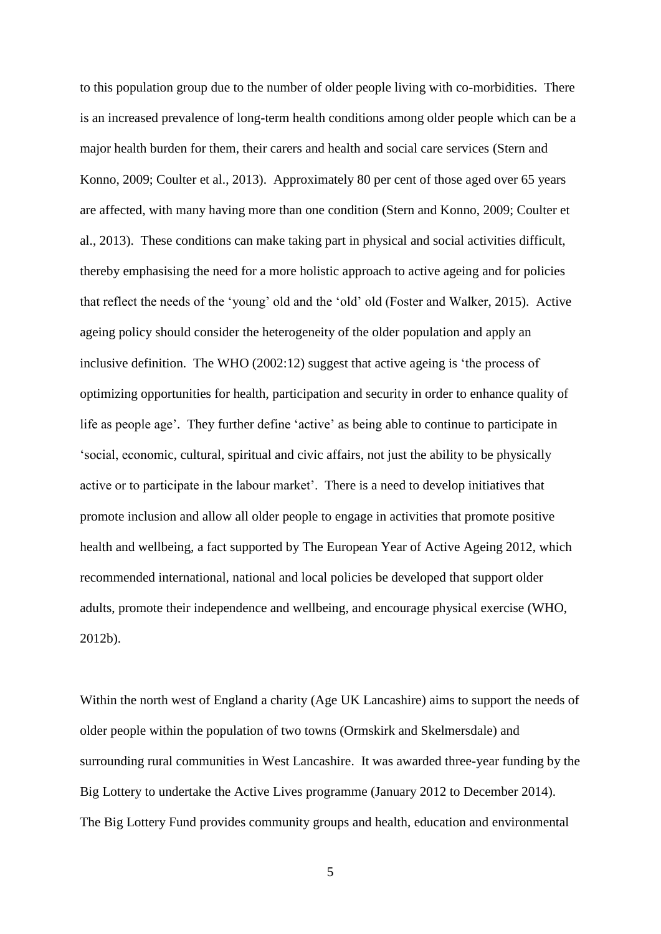to this population group due to the number of older people living with co-morbidities. There is an increased prevalence of long-term health conditions among older people which can be a major health burden for them, their carers and health and social care services (Stern and Konno, 2009; Coulter et al., 2013). Approximately 80 per cent of those aged over 65 years are affected, with many having more than one condition (Stern and Konno, 2009; Coulter et al., 2013). These conditions can make taking part in physical and social activities difficult, thereby emphasising the need for a more holistic approach to active ageing and for policies that reflect the needs of the 'young' old and the 'old' old (Foster and Walker, 2015). Active ageing policy should consider the heterogeneity of the older population and apply an inclusive definition. The WHO (2002:12) suggest that active ageing is 'the process of optimizing opportunities for health, participation and security in order to enhance quality of life as people age'. They further define 'active' as being able to continue to participate in 'social, economic, cultural, spiritual and civic affairs, not just the ability to be physically active or to participate in the labour market'. There is a need to develop initiatives that promote inclusion and allow all older people to engage in activities that promote positive health and wellbeing, a fact supported by The European Year of Active Ageing 2012, which recommended international, national and local policies be developed that support older adults, promote their independence and wellbeing, and encourage physical exercise (WHO, 2012b).

Within the north west of England a charity (Age UK Lancashire) aims to support the needs of older people within the population of two towns (Ormskirk and Skelmersdale) and surrounding rural communities in West Lancashire. It was awarded three-year funding by the Big Lottery to undertake the Active Lives programme (January 2012 to December 2014). The Big Lottery Fund provides community groups and health, education and environmental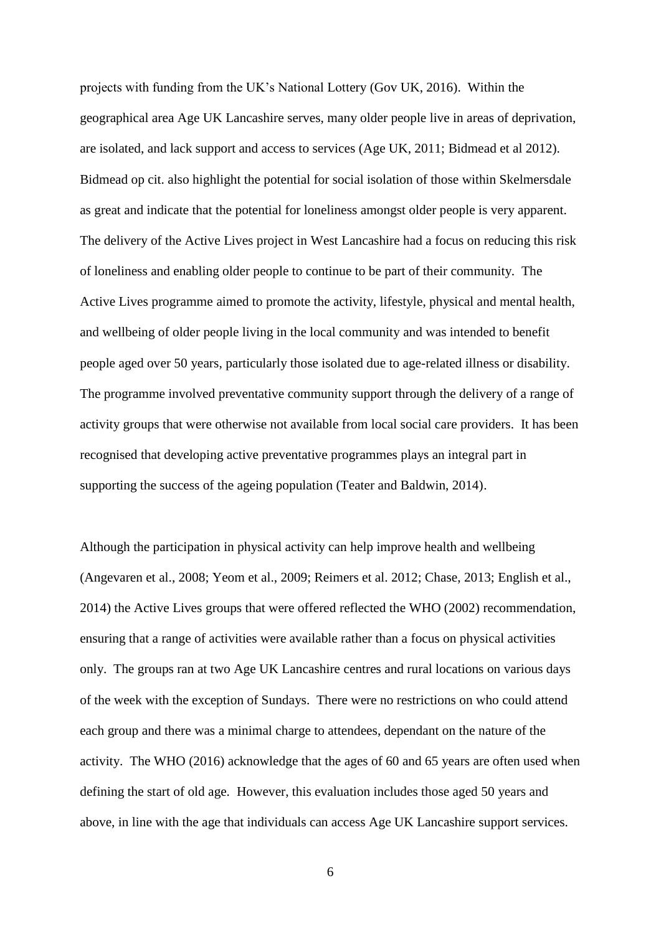projects with funding from the UK's National Lottery (Gov UK, 2016). Within the geographical area Age UK Lancashire serves, many older people live in areas of deprivation, are isolated, and lack support and access to services (Age UK, 2011; Bidmead et al 2012). Bidmead op cit. also highlight the potential for social isolation of those within Skelmersdale as great and indicate that the potential for loneliness amongst older people is very apparent. The delivery of the Active Lives project in West Lancashire had a focus on reducing this risk of loneliness and enabling older people to continue to be part of their community. The Active Lives programme aimed to promote the activity, lifestyle, physical and mental health, and wellbeing of older people living in the local community and was intended to benefit people aged over 50 years, particularly those isolated due to age-related illness or disability. The programme involved preventative community support through the delivery of a range of activity groups that were otherwise not available from local social care providers. It has been recognised that developing active preventative programmes plays an integral part in supporting the success of the ageing population (Teater and Baldwin, 2014).

Although the participation in physical activity can help improve health and wellbeing (Angevaren et al., 2008; Yeom et al., 2009; Reimers et al. 2012; Chase, 2013; English et al., 2014) the Active Lives groups that were offered reflected the WHO (2002) recommendation, ensuring that a range of activities were available rather than a focus on physical activities only. The groups ran at two Age UK Lancashire centres and rural locations on various days of the week with the exception of Sundays. There were no restrictions on who could attend each group and there was a minimal charge to attendees, dependant on the nature of the activity. The WHO (2016) acknowledge that the ages of 60 and 65 years are often used when defining the start of old age. However, this evaluation includes those aged 50 years and above, in line with the age that individuals can access Age UK Lancashire support services.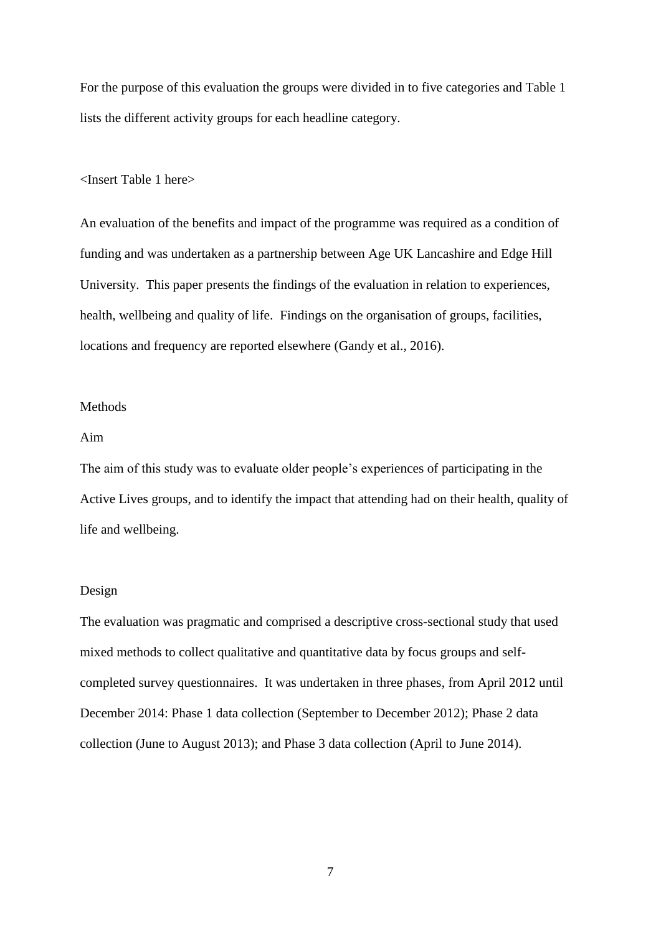For the purpose of this evaluation the groups were divided in to five categories and Table 1 lists the different activity groups for each headline category.

#### <Insert Table 1 here>

An evaluation of the benefits and impact of the programme was required as a condition of funding and was undertaken as a partnership between Age UK Lancashire and Edge Hill University. This paper presents the findings of the evaluation in relation to experiences, health, wellbeing and quality of life. Findings on the organisation of groups, facilities, locations and frequency are reported elsewhere (Gandy et al., 2016).

#### Methods

#### Aim

The aim of this study was to evaluate older people's experiences of participating in the Active Lives groups, and to identify the impact that attending had on their health, quality of life and wellbeing.

#### Design

The evaluation was pragmatic and comprised a descriptive cross-sectional study that used mixed methods to collect qualitative and quantitative data by focus groups and selfcompleted survey questionnaires. It was undertaken in three phases, from April 2012 until December 2014: Phase 1 data collection (September to December 2012); Phase 2 data collection (June to August 2013); and Phase 3 data collection (April to June 2014).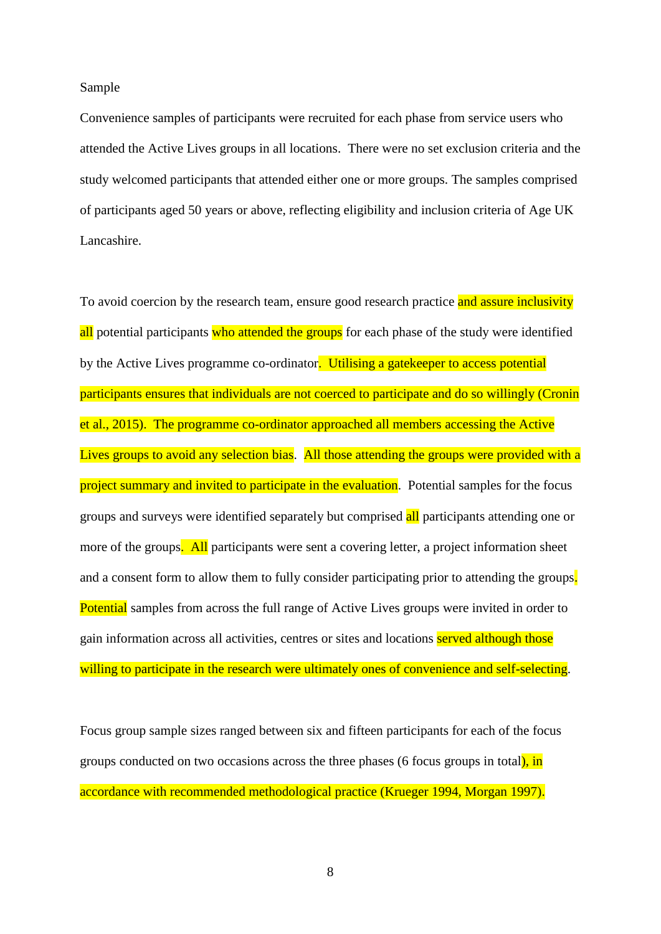Sample

Convenience samples of participants were recruited for each phase from service users who attended the Active Lives groups in all locations. There were no set exclusion criteria and the study welcomed participants that attended either one or more groups. The samples comprised of participants aged 50 years or above, reflecting eligibility and inclusion criteria of Age UK Lancashire.

To avoid coercion by the research team, ensure good research practice and assure inclusivity all potential participants who attended the groups for each phase of the study were identified by the Active Lives programme co-ordinator. Utilising a gate keeper to access potential participants ensures that individuals are not coerced to participate and do so willingly (Cronin et al., 2015). The programme co-ordinator approached all members accessing the Active Lives groups to avoid any selection bias. All those attending the groups were provided with a project summary and invited to participate in the evaluation. Potential samples for the focus groups and surveys were identified separately but comprised all participants attending one or more of the groups. All participants were sent a covering letter, a project information sheet and a consent form to allow them to fully consider participating prior to attending the groups. Potential samples from across the full range of Active Lives groups were invited in order to gain information across all activities, centres or sites and locations served although those willing to participate in the research were ultimately ones of convenience and self-selecting.

Focus group sample sizes ranged between six and fifteen participants for each of the focus groups conducted on two occasions across the three phases (6 focus groups in total), in accordance with recommended methodological practice (Krueger 1994, Morgan 1997).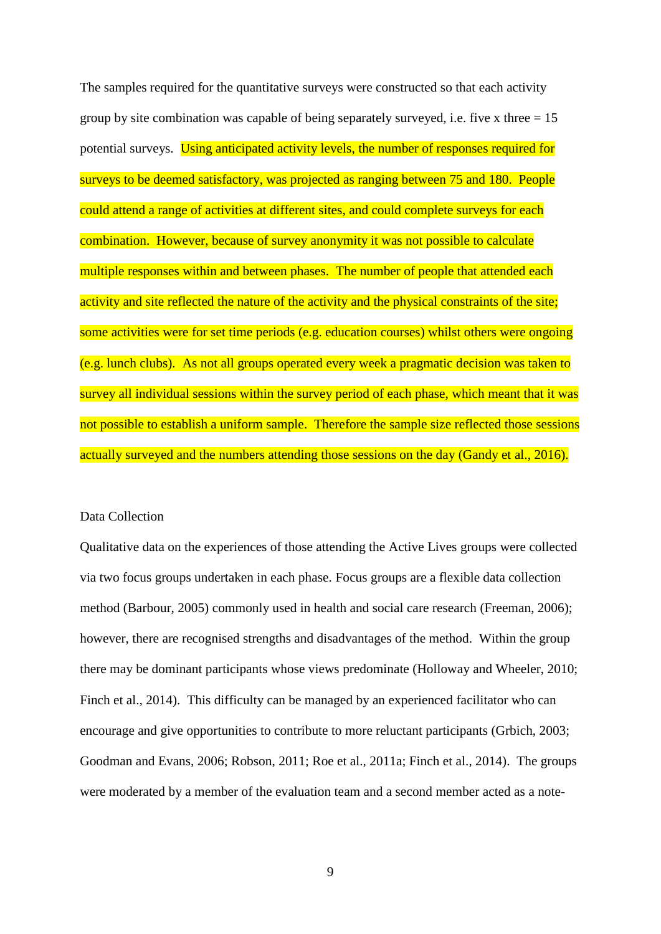The samples required for the quantitative surveys were constructed so that each activity group by site combination was capable of being separately surveyed, i.e. five x three  $= 15$ potential surveys. Using anticipated activity levels, the number of responses required for surveys to be deemed satisfactory, was projected as ranging between 75 and 180. People could attend a range of activities at different sites, and could complete surveys for each combination. However, because of survey anonymity it was not possible to calculate multiple responses within and between phases. The number of people that attended each activity and site reflected the nature of the activity and the physical constraints of the site; some activities were for set time periods (e.g. education courses) whilst others were ongoing (e.g. lunch clubs). As not all groups operated every week a pragmatic decision was taken to survey all individual sessions within the survey period of each phase, which meant that it was not possible to establish a uniform sample. Therefore the sample size reflected those sessions actually surveyed and the numbers attending those sessions on the day (Gandy et al., 2016).

#### Data Collection

Qualitative data on the experiences of those attending the Active Lives groups were collected via two focus groups undertaken in each phase. Focus groups are a flexible data collection method (Barbour, 2005) commonly used in health and social care research (Freeman, 2006); however, there are recognised strengths and disadvantages of the method. Within the group there may be dominant participants whose views predominate (Holloway and Wheeler, 2010; Finch et al., 2014). This difficulty can be managed by an experienced facilitator who can encourage and give opportunities to contribute to more reluctant participants (Grbich, 2003; Goodman and Evans, 2006; Robson, 2011; Roe et al., 2011a; Finch et al., 2014). The groups were moderated by a member of the evaluation team and a second member acted as a note-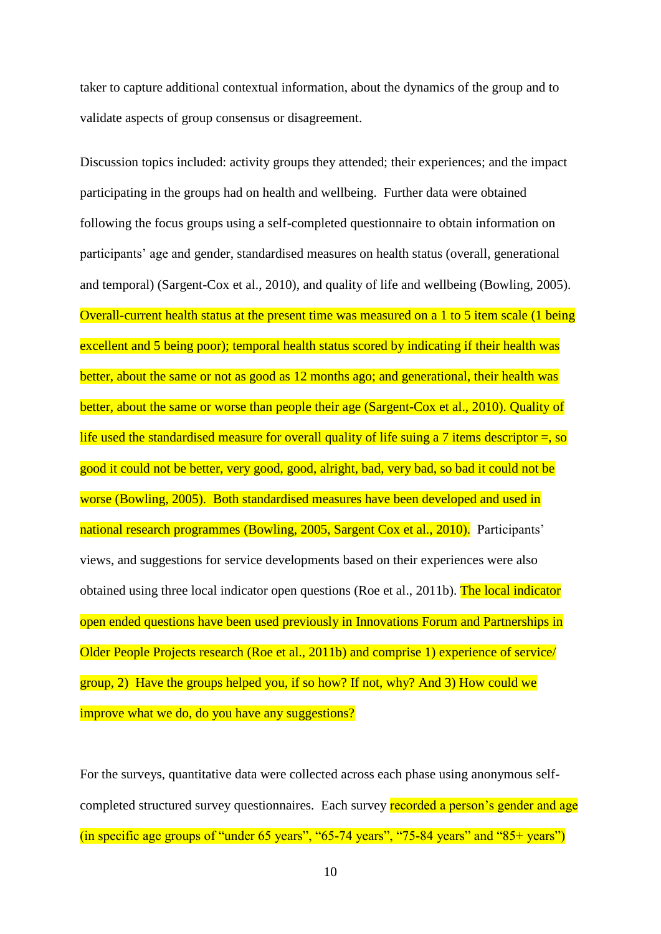taker to capture additional contextual information, about the dynamics of the group and to validate aspects of group consensus or disagreement.

Discussion topics included: activity groups they attended; their experiences; and the impact participating in the groups had on health and wellbeing. Further data were obtained following the focus groups using a self-completed questionnaire to obtain information on participants' age and gender, standardised measures on health status (overall, generational and temporal) (Sargent-Cox et al., 2010), and quality of life and wellbeing (Bowling, 2005). Overall-current health status at the present time was measured on a 1 to 5 item scale (1 being excellent and 5 being poor); temporal health status scored by indicating if their health was better, about the same or not as good as 12 months ago; and generational, their health was better, about the same or worse than people their age (Sargent-Cox et al., 2010). Quality of life used the standardised measure for overall quality of life suing a 7 items descriptor  $=$ , so good it could not be better, very good, good, alright, bad, very bad, so bad it could not be worse (Bowling, 2005). Both standardised measures have been developed and used in national research programmes (Bowling, 2005, Sargent Cox et al., 2010). Participants' views, and suggestions for service developments based on their experiences were also obtained using three local indicator open questions (Roe et al., 2011b). The local indicator open ended questions have been used previously in Innovations Forum and Partnerships in Older People Projects research (Roe et al., 2011b) and comprise 1) experience of service/ group, 2) Have the groups helped you, if so how? If not, why? And 3) How could we improve what we do, do you have any suggestions?

For the surveys, quantitative data were collected across each phase using anonymous selfcompleted structured survey questionnaires. Each survey recorded a person's gender and age (in specific age groups of "under 65 years", "65-74 years", "75-84 years" and " $85+$  years")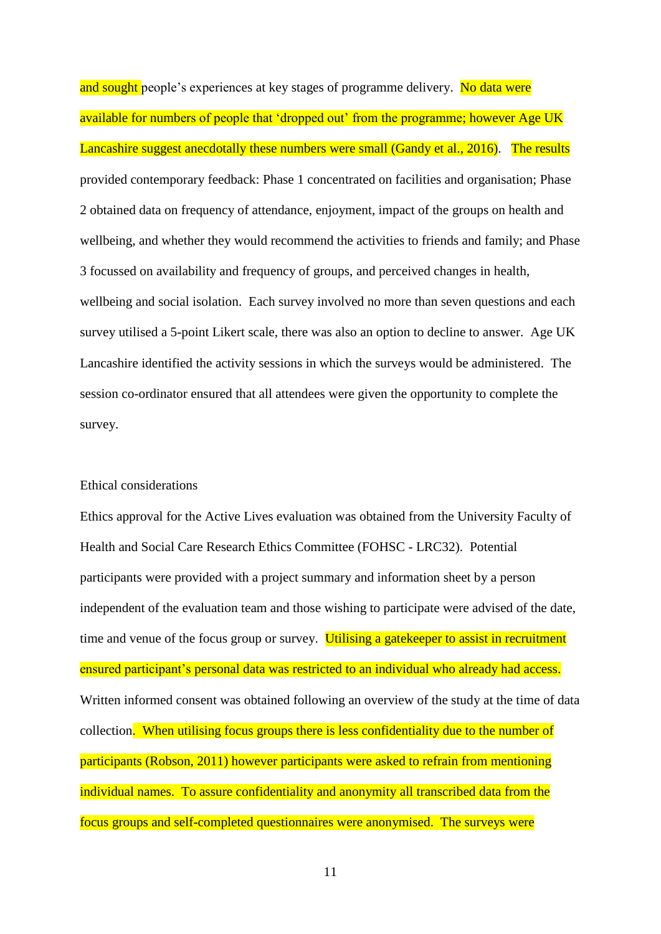and sought people's experiences at key stages of programme delivery. No data were available for numbers of people that 'dropped out' from the programme; however Age UK Lancashire suggest anecdotally these numbers were small (Gandy et al., 2016). The results provided contemporary feedback: Phase 1 concentrated on facilities and organisation; Phase 2 obtained data on frequency of attendance, enjoyment, impact of the groups on health and wellbeing, and whether they would recommend the activities to friends and family; and Phase 3 focussed on availability and frequency of groups, and perceived changes in health, wellbeing and social isolation. Each survey involved no more than seven questions and each survey utilised a 5-point Likert scale, there was also an option to decline to answer. Age UK Lancashire identified the activity sessions in which the surveys would be administered. The session co-ordinator ensured that all attendees were given the opportunity to complete the survey.

#### Ethical considerations

Ethics approval for the Active Lives evaluation was obtained from the University Faculty of Health and Social Care Research Ethics Committee (FOHSC - LRC32). Potential participants were provided with a project summary and information sheet by a person independent of the evaluation team and those wishing to participate were advised of the date, time and venue of the focus group or survey. Utilising a gate keeper to assist in recruitment ensured participant's personal data was restricted to an individual who already had access. Written informed consent was obtained following an overview of the study at the time of data collection. When utilising focus groups there is less confidentiality due to the number of participants (Robson, 2011) however participants were asked to refrain from mentioning individual names. To assure confidentiality and anonymity all transcribed data from the focus groups and self-completed questionnaires were anonymised. The surveys were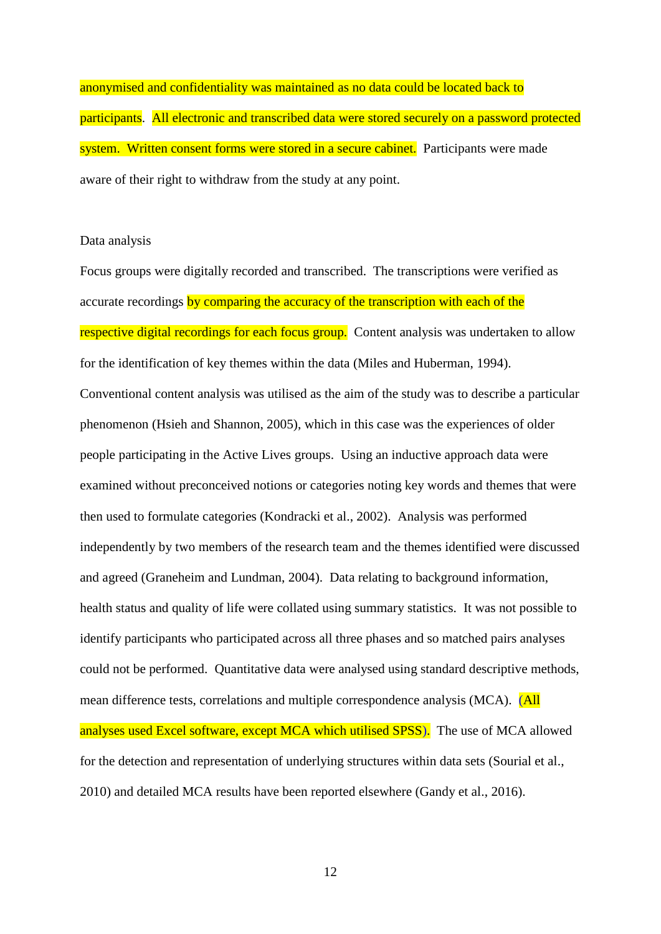anonymised and confidentiality was maintained as no data could be located back to participants. All electronic and transcribed data were stored securely on a password protected system. Written consent forms were stored in a secure cabinet. Participants were made aware of their right to withdraw from the study at any point.

#### Data analysis

Focus groups were digitally recorded and transcribed. The transcriptions were verified as accurate recordings by comparing the accuracy of the transcription with each of the respective digital recordings for each focus group. Content analysis was undertaken to allow for the identification of key themes within the data (Miles and Huberman, 1994). Conventional content analysis was utilised as the aim of the study was to describe a particular phenomenon (Hsieh and Shannon, 2005), which in this case was the experiences of older people participating in the Active Lives groups. Using an inductive approach data were examined without preconceived notions or categories noting key words and themes that were then used to formulate categories (Kondracki et al., 2002). Analysis was performed independently by two members of the research team and the themes identified were discussed and agreed (Graneheim and Lundman, 2004). Data relating to background information, health status and quality of life were collated using summary statistics. It was not possible to identify participants who participated across all three phases and so matched pairs analyses could not be performed. Quantitative data were analysed using standard descriptive methods, mean difference tests, correlations and multiple correspondence analysis (MCA). (All analyses used Excel software, except MCA which utilised SPSS). The use of MCA allowed for the detection and representation of underlying structures within data sets (Sourial et al., 2010) and detailed MCA results have been reported elsewhere (Gandy et al., 2016).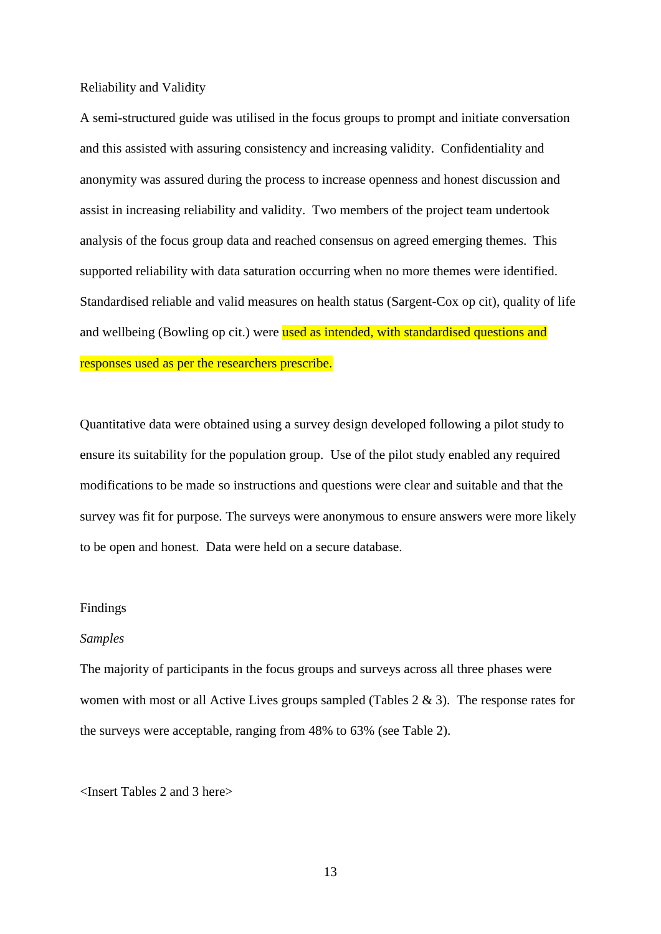Reliability and Validity

A semi-structured guide was utilised in the focus groups to prompt and initiate conversation and this assisted with assuring consistency and increasing validity. Confidentiality and anonymity was assured during the process to increase openness and honest discussion and assist in increasing reliability and validity. Two members of the project team undertook analysis of the focus group data and reached consensus on agreed emerging themes. This supported reliability with data saturation occurring when no more themes were identified. Standardised reliable and valid measures on health status (Sargent-Cox op cit), quality of life and wellbeing (Bowling op cit.) were used as intended, with standardised questions and responses used as per the researchers prescribe.

Quantitative data were obtained using a survey design developed following a pilot study to ensure its suitability for the population group. Use of the pilot study enabled any required modifications to be made so instructions and questions were clear and suitable and that the survey was fit for purpose. The surveys were anonymous to ensure answers were more likely to be open and honest. Data were held on a secure database.

#### Findings

#### *Samples*

The majority of participants in the focus groups and surveys across all three phases were women with most or all Active Lives groups sampled (Tables  $2 \& 3$ ). The response rates for the surveys were acceptable, ranging from 48% to 63% (see Table 2).

<Insert Tables 2 and 3 here>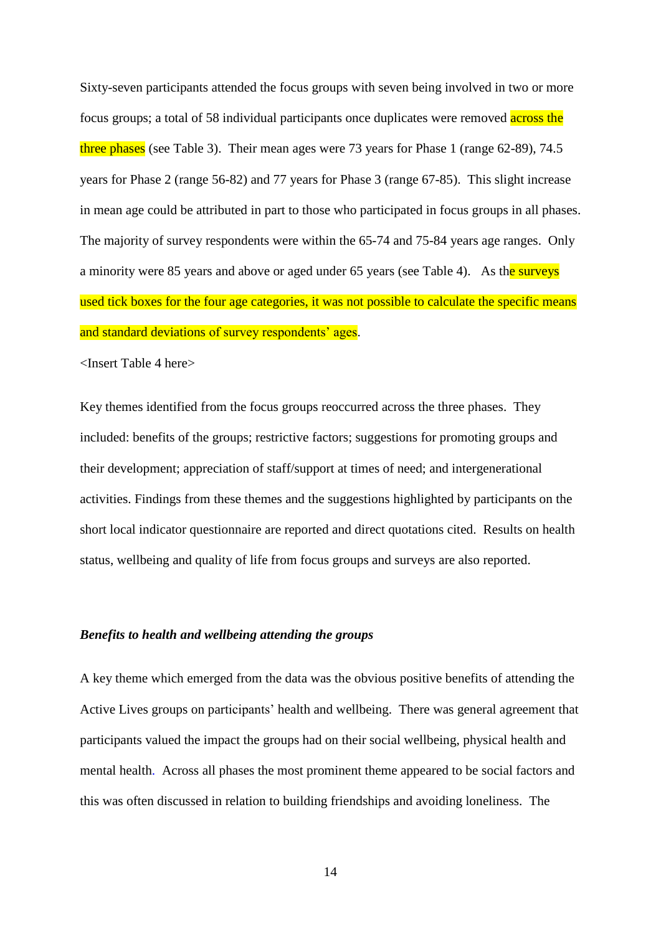Sixty-seven participants attended the focus groups with seven being involved in two or more focus groups; a total of 58 individual participants once duplicates were removed across the three phases (see Table 3). Their mean ages were 73 years for Phase 1 (range 62-89), 74.5 years for Phase 2 (range 56-82) and 77 years for Phase 3 (range 67-85). This slight increase in mean age could be attributed in part to those who participated in focus groups in all phases. The majority of survey respondents were within the 65-74 and 75-84 years age ranges. Only a minority were 85 years and above or aged under 65 years (see Table 4). As the surveys used tick boxes for the four age categories, it was not possible to calculate the specific means and standard deviations of survey respondents' ages.

<Insert Table 4 here>

Key themes identified from the focus groups reoccurred across the three phases. They included: benefits of the groups; restrictive factors; suggestions for promoting groups and their development; appreciation of staff/support at times of need; and intergenerational activities. Findings from these themes and the suggestions highlighted by participants on the short local indicator questionnaire are reported and direct quotations cited. Results on health status, wellbeing and quality of life from focus groups and surveys are also reported.

#### *Benefits to health and wellbeing attending the groups*

A key theme which emerged from the data was the obvious positive benefits of attending the Active Lives groups on participants' health and wellbeing. There was general agreement that participants valued the impact the groups had on their social wellbeing, physical health and mental health. Across all phases the most prominent theme appeared to be social factors and this was often discussed in relation to building friendships and avoiding loneliness. The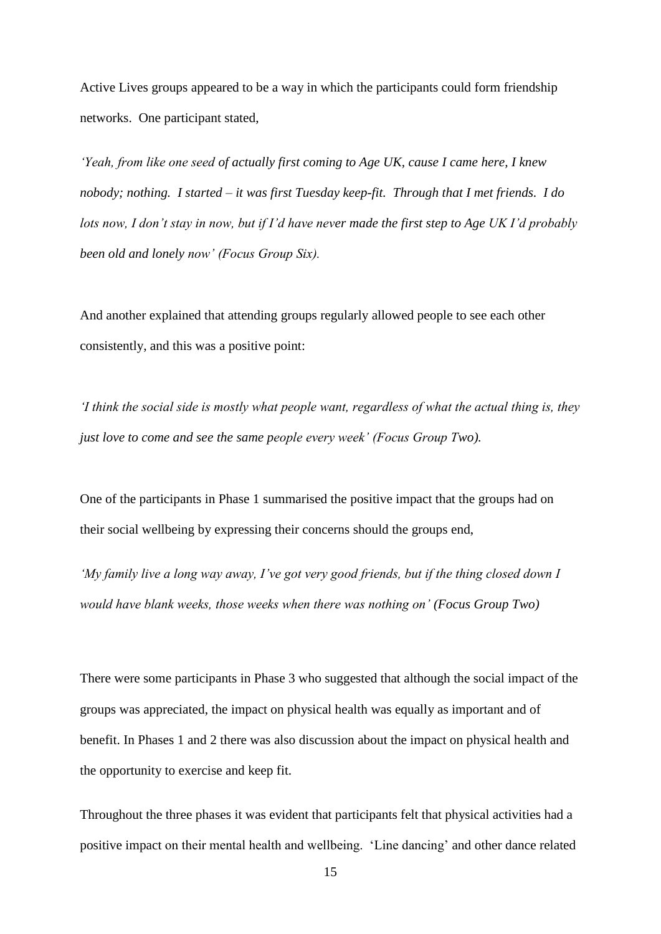Active Lives groups appeared to be a way in which the participants could form friendship networks. One participant stated,

*'Yeah, from like one seed of actually first coming to Age UK, cause I came here, I knew nobody; nothing. I started – it was first Tuesday keep-fit. Through that I met friends. I do lots now, I don't stay in now, but if I'd have never made the first step to Age UK I'd probably been old and lonely now' (Focus Group Six).*

And another explained that attending groups regularly allowed people to see each other consistently, and this was a positive point:

*'I think the social side is mostly what people want, regardless of what the actual thing is, they just love to come and see the same people every week' (Focus Group Two).*

One of the participants in Phase 1 summarised the positive impact that the groups had on their social wellbeing by expressing their concerns should the groups end,

*'My family live a long way away, I've got very good friends, but if the thing closed down I would have blank weeks, those weeks when there was nothing on' (Focus Group Two)*

There were some participants in Phase 3 who suggested that although the social impact of the groups was appreciated, the impact on physical health was equally as important and of benefit. In Phases 1 and 2 there was also discussion about the impact on physical health and the opportunity to exercise and keep fit.

Throughout the three phases it was evident that participants felt that physical activities had a positive impact on their mental health and wellbeing. 'Line dancing' and other dance related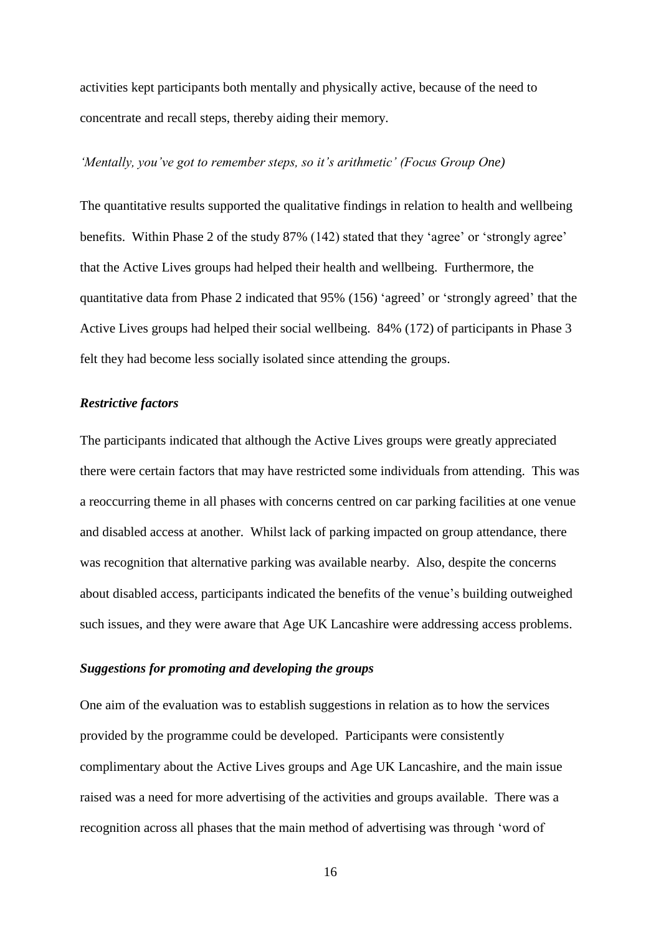activities kept participants both mentally and physically active, because of the need to concentrate and recall steps, thereby aiding their memory.

#### *'Mentally, you've got to remember steps, so it's arithmetic' (Focus Group One)*

The quantitative results supported the qualitative findings in relation to health and wellbeing benefits. Within Phase 2 of the study 87% (142) stated that they 'agree' or 'strongly agree' that the Active Lives groups had helped their health and wellbeing. Furthermore, the quantitative data from Phase 2 indicated that 95% (156) 'agreed' or 'strongly agreed' that the Active Lives groups had helped their social wellbeing. 84% (172) of participants in Phase 3 felt they had become less socially isolated since attending the groups.

#### *Restrictive factors*

The participants indicated that although the Active Lives groups were greatly appreciated there were certain factors that may have restricted some individuals from attending. This was a reoccurring theme in all phases with concerns centred on car parking facilities at one venue and disabled access at another. Whilst lack of parking impacted on group attendance, there was recognition that alternative parking was available nearby. Also, despite the concerns about disabled access, participants indicated the benefits of the venue's building outweighed such issues, and they were aware that Age UK Lancashire were addressing access problems.

#### *Suggestions for promoting and developing the groups*

One aim of the evaluation was to establish suggestions in relation as to how the services provided by the programme could be developed. Participants were consistently complimentary about the Active Lives groups and Age UK Lancashire, and the main issue raised was a need for more advertising of the activities and groups available. There was a recognition across all phases that the main method of advertising was through 'word of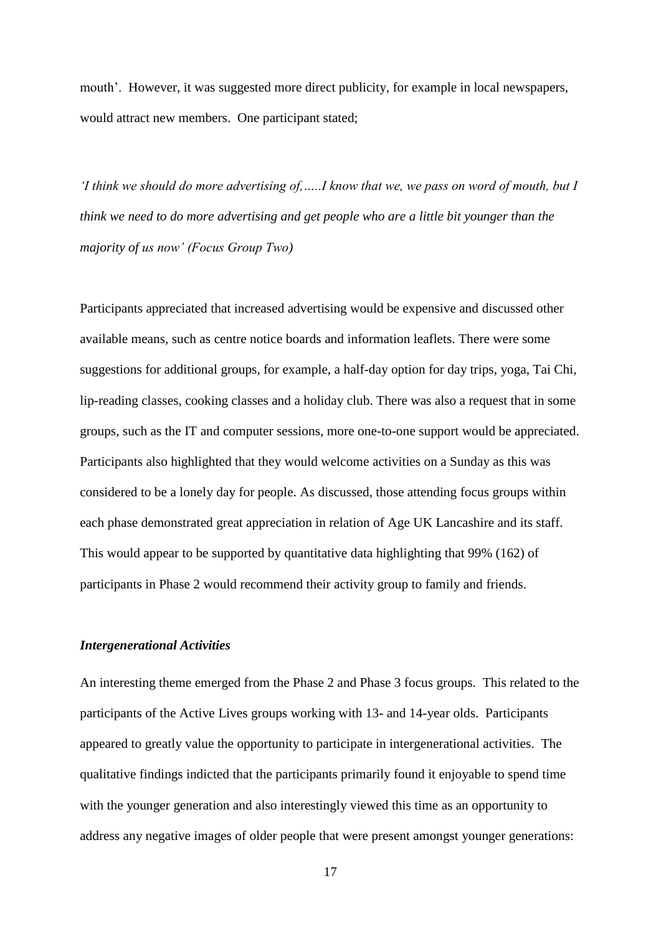mouth'. However, it was suggested more direct publicity, for example in local newspapers, would attract new members. One participant stated;

*'I think we should do more advertising of,…..I know that we, we pass on word of mouth, but I think we need to do more advertising and get people who are a little bit younger than the majority of us now' (Focus Group Two)*

Participants appreciated that increased advertising would be expensive and discussed other available means, such as centre notice boards and information leaflets. There were some suggestions for additional groups, for example, a half-day option for day trips, yoga, Tai Chi, lip-reading classes, cooking classes and a holiday club. There was also a request that in some groups, such as the IT and computer sessions, more one-to-one support would be appreciated. Participants also highlighted that they would welcome activities on a Sunday as this was considered to be a lonely day for people. As discussed, those attending focus groups within each phase demonstrated great appreciation in relation of Age UK Lancashire and its staff. This would appear to be supported by quantitative data highlighting that 99% (162) of participants in Phase 2 would recommend their activity group to family and friends.

#### *Intergenerational Activities*

An interesting theme emerged from the Phase 2 and Phase 3 focus groups. This related to the participants of the Active Lives groups working with 13- and 14-year olds. Participants appeared to greatly value the opportunity to participate in intergenerational activities. The qualitative findings indicted that the participants primarily found it enjoyable to spend time with the younger generation and also interestingly viewed this time as an opportunity to address any negative images of older people that were present amongst younger generations: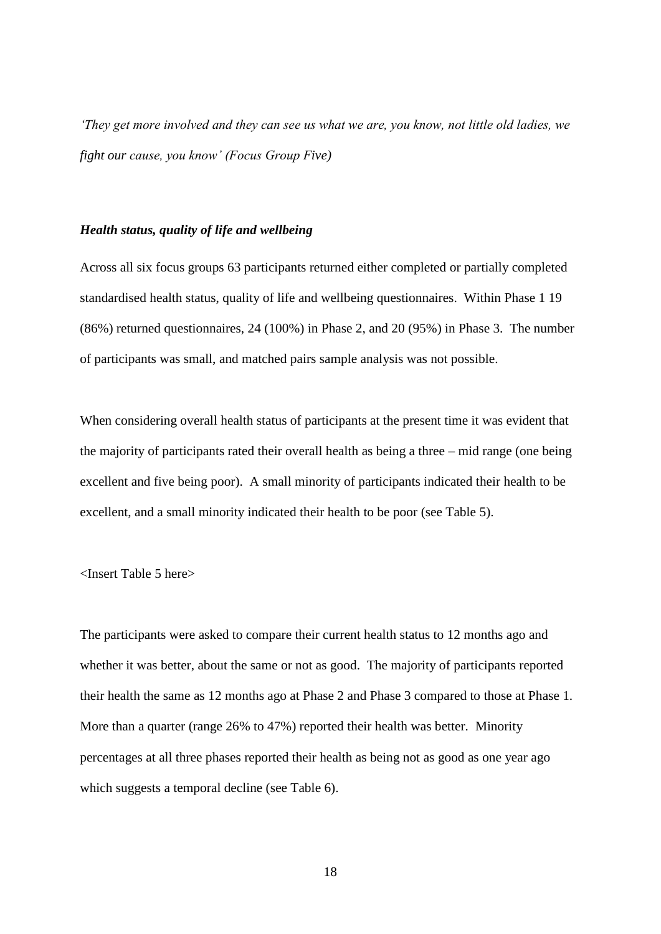*'They get more involved and they can see us what we are, you know, not little old ladies, we fight our cause, you know' (Focus Group Five)*

#### *Health status, quality of life and wellbeing*

Across all six focus groups 63 participants returned either completed or partially completed standardised health status, quality of life and wellbeing questionnaires. Within Phase 1 19 (86%) returned questionnaires, 24 (100%) in Phase 2, and 20 (95%) in Phase 3. The number of participants was small, and matched pairs sample analysis was not possible.

When considering overall health status of participants at the present time it was evident that the majority of participants rated their overall health as being a three – mid range (one being excellent and five being poor). A small minority of participants indicated their health to be excellent, and a small minority indicated their health to be poor (see Table 5).

#### <Insert Table 5 here>

The participants were asked to compare their current health status to 12 months ago and whether it was better, about the same or not as good. The majority of participants reported their health the same as 12 months ago at Phase 2 and Phase 3 compared to those at Phase 1. More than a quarter (range 26% to 47%) reported their health was better. Minority percentages at all three phases reported their health as being not as good as one year ago which suggests a temporal decline (see Table 6).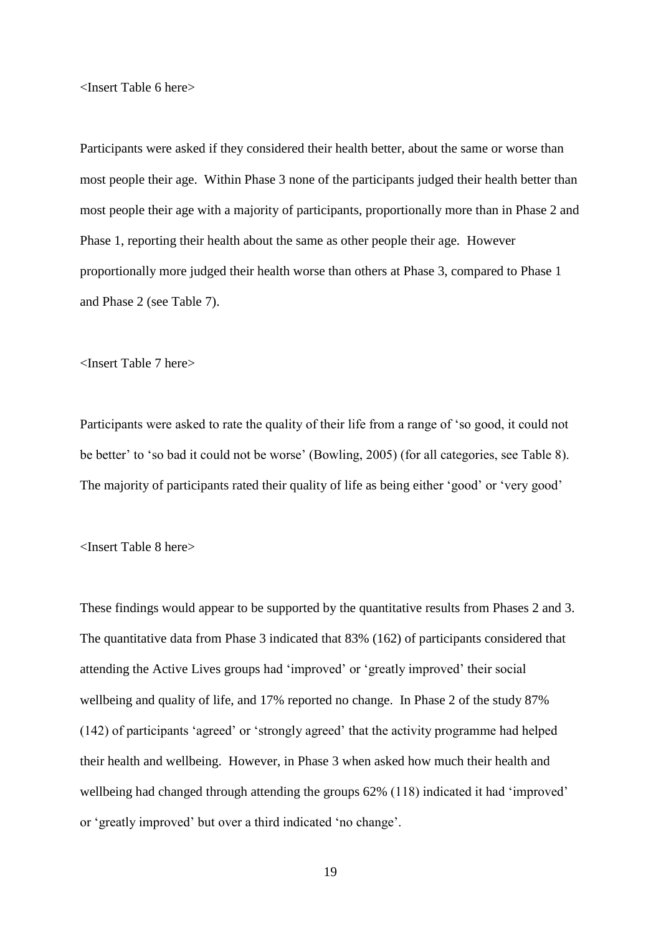<Insert Table 6 here>

Participants were asked if they considered their health better, about the same or worse than most people their age. Within Phase 3 none of the participants judged their health better than most people their age with a majority of participants, proportionally more than in Phase 2 and Phase 1, reporting their health about the same as other people their age. However proportionally more judged their health worse than others at Phase 3, compared to Phase 1 and Phase 2 (see Table 7).

<Insert Table 7 here>

Participants were asked to rate the quality of their life from a range of 'so good, it could not be better' to 'so bad it could not be worse' (Bowling, 2005) (for all categories, see Table 8). The majority of participants rated their quality of life as being either 'good' or 'very good'

<Insert Table 8 here>

These findings would appear to be supported by the quantitative results from Phases 2 and 3. The quantitative data from Phase 3 indicated that 83% (162) of participants considered that attending the Active Lives groups had 'improved' or 'greatly improved' their social wellbeing and quality of life, and 17% reported no change. In Phase 2 of the study 87% (142) of participants 'agreed' or 'strongly agreed' that the activity programme had helped their health and wellbeing. However, in Phase 3 when asked how much their health and wellbeing had changed through attending the groups 62% (118) indicated it had 'improved' or 'greatly improved' but over a third indicated 'no change'.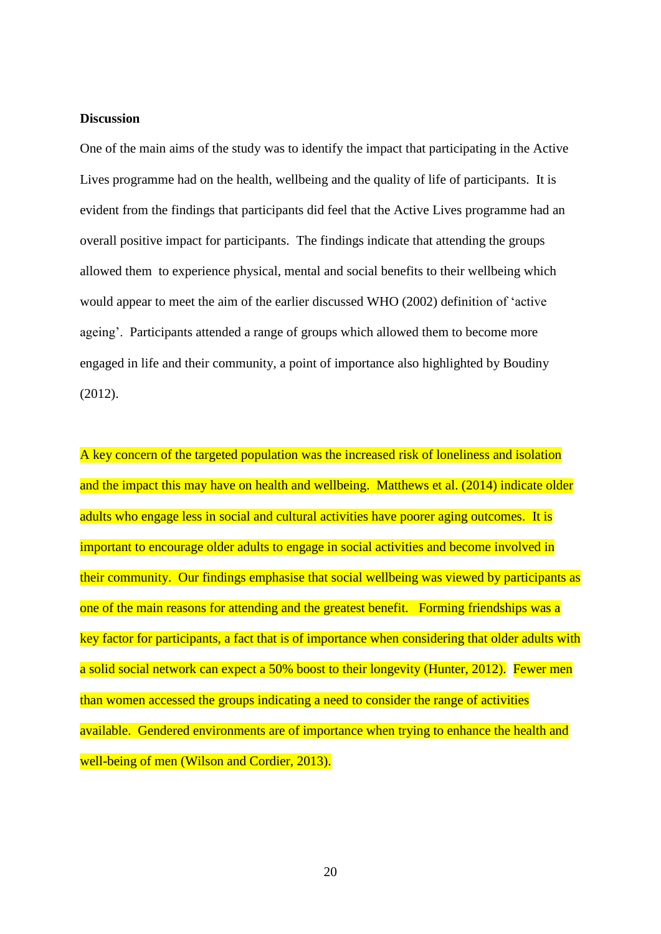#### **Discussion**

One of the main aims of the study was to identify the impact that participating in the Active Lives programme had on the health, wellbeing and the quality of life of participants. It is evident from the findings that participants did feel that the Active Lives programme had an overall positive impact for participants. The findings indicate that attending the groups allowed them to experience physical, mental and social benefits to their wellbeing which would appear to meet the aim of the earlier discussed WHO (2002) definition of 'active ageing'. Participants attended a range of groups which allowed them to become more engaged in life and their community, a point of importance also highlighted by Boudiny (2012).

A key concern of the targeted population was the increased risk of loneliness and isolation and the impact this may have on health and wellbeing. Matthews et al. (2014) indicate older adults who engage less in social and cultural activities have poorer aging outcomes. It is important to encourage older adults to engage in social activities and become involved in their community. Our findings emphasise that social wellbeing was viewed by participants as one of the main reasons for attending and the greatest benefit. Forming friendships was a key factor for participants, a fact that is of importance when considering that older adults with a solid social network can expect a 50% boost to their longevity (Hunter, 2012). Fewer men than women accessed the groups indicating a need to consider the range of activities available. Gendered environments are of importance when trying to enhance the health and well-being of men (Wilson and Cordier, 2013).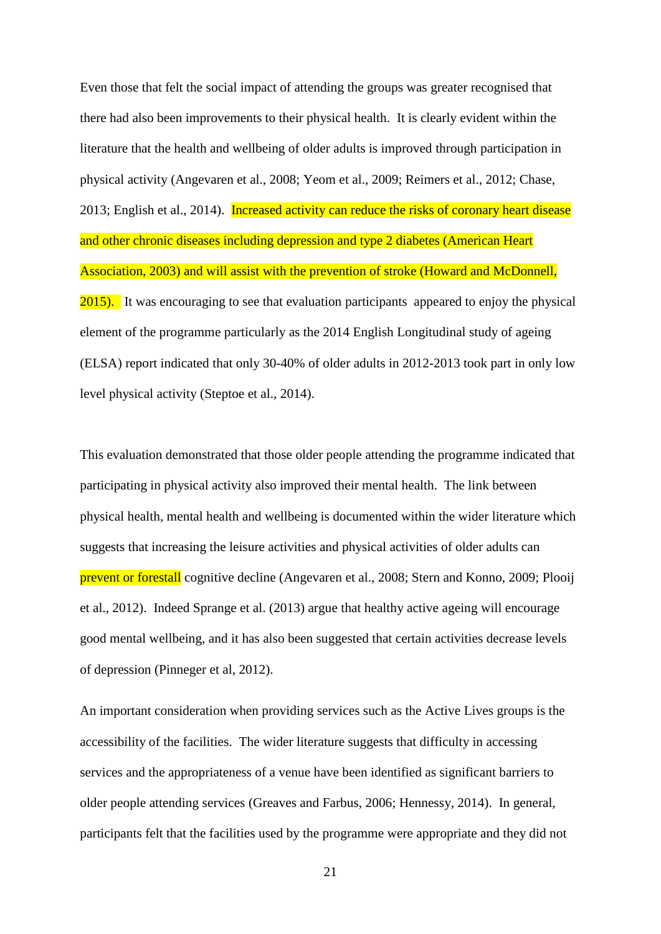Even those that felt the social impact of attending the groups was greater recognised that there had also been improvements to their physical health. It is clearly evident within the literature that the health and wellbeing of older adults is improved through participation in physical activity (Angevaren et al., 2008; Yeom et al., 2009; Reimers et al., 2012; Chase, 2013; English et al., 2014). Increased activity can reduce the risks of coronary heart disease and other chronic diseases including depression and type 2 diabetes (American Heart Association, 2003) and will assist with the prevention of stroke (Howard and McDonnell, 2015). It was encouraging to see that evaluation participants appeared to enjoy the physical element of the programme particularly as the 2014 English Longitudinal study of ageing (ELSA) report indicated that only 30-40% of older adults in 2012-2013 took part in only low level physical activity (Steptoe et al., 2014).

This evaluation demonstrated that those older people attending the programme indicated that participating in physical activity also improved their mental health. The link between physical health, mental health and wellbeing is documented within the wider literature which suggests that increasing the leisure activities and physical activities of older adults can prevent or forestall cognitive decline (Angevaren et al., 2008; Stern and Konno, 2009; Plooij et al., 2012). Indeed Sprange et al. (2013) argue that healthy active ageing will encourage good mental wellbeing, and it has also been suggested that certain activities decrease levels of depression (Pinneger et al, 2012).

An important consideration when providing services such as the Active Lives groups is the accessibility of the facilities. The wider literature suggests that difficulty in accessing services and the appropriateness of a venue have been identified as significant barriers to older people attending services (Greaves and Farbus, 2006; Hennessy, 2014). In general, participants felt that the facilities used by the programme were appropriate and they did not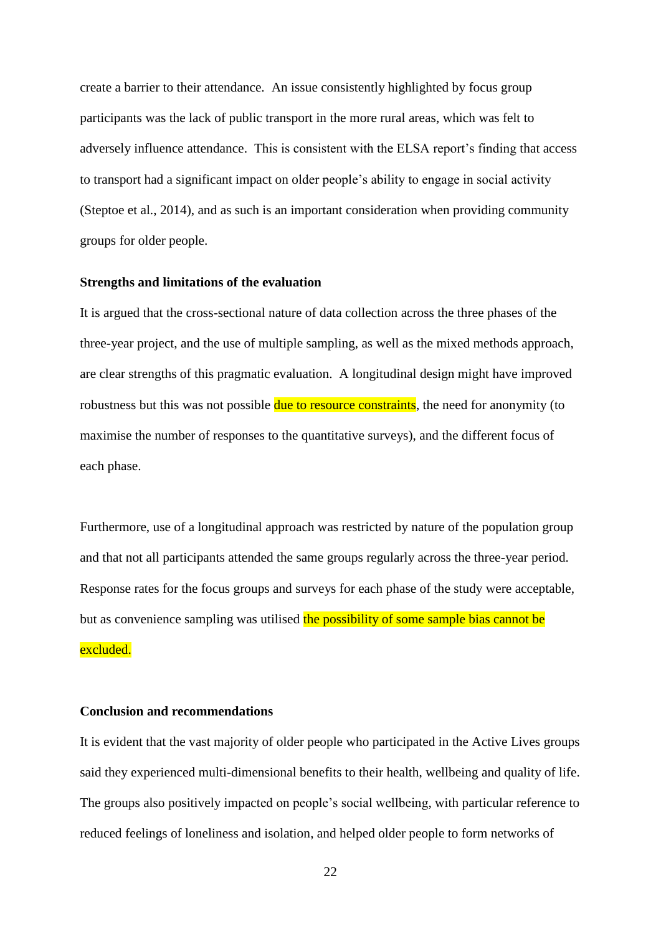create a barrier to their attendance. An issue consistently highlighted by focus group participants was the lack of public transport in the more rural areas, which was felt to adversely influence attendance. This is consistent with the ELSA report's finding that access to transport had a significant impact on older people's ability to engage in social activity (Steptoe et al., 2014), and as such is an important consideration when providing community groups for older people.

#### **Strengths and limitations of the evaluation**

It is argued that the cross-sectional nature of data collection across the three phases of the three-year project, and the use of multiple sampling, as well as the mixed methods approach, are clear strengths of this pragmatic evaluation. A longitudinal design might have improved robustness but this was not possible due to resource constraints, the need for anonymity (to maximise the number of responses to the quantitative surveys), and the different focus of each phase.

Furthermore, use of a longitudinal approach was restricted by nature of the population group and that not all participants attended the same groups regularly across the three-year period. Response rates for the focus groups and surveys for each phase of the study were acceptable, but as convenience sampling was utilised the possibility of some sample bias cannot be excluded.

#### **Conclusion and recommendations**

It is evident that the vast majority of older people who participated in the Active Lives groups said they experienced multi-dimensional benefits to their health, wellbeing and quality of life. The groups also positively impacted on people's social wellbeing, with particular reference to reduced feelings of loneliness and isolation, and helped older people to form networks of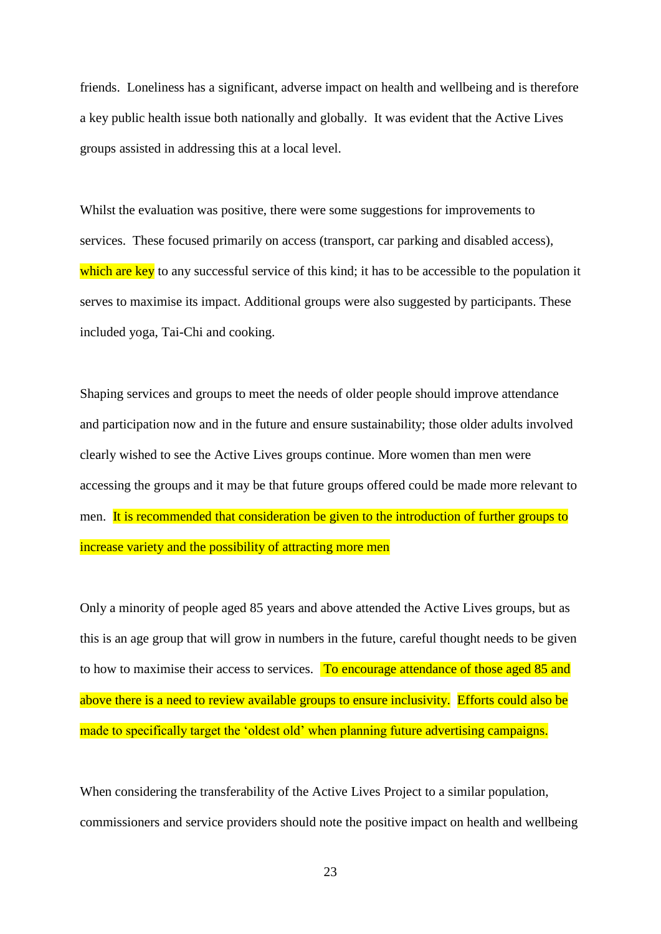friends. Loneliness has a significant, adverse impact on health and wellbeing and is therefore a key public health issue both nationally and globally. It was evident that the Active Lives groups assisted in addressing this at a local level.

Whilst the evaluation was positive, there were some suggestions for improvements to services. These focused primarily on access (transport, car parking and disabled access), which are key to any successful service of this kind; it has to be accessible to the population it serves to maximise its impact. Additional groups were also suggested by participants. These included yoga, Tai-Chi and cooking.

Shaping services and groups to meet the needs of older people should improve attendance and participation now and in the future and ensure sustainability; those older adults involved clearly wished to see the Active Lives groups continue. More women than men were accessing the groups and it may be that future groups offered could be made more relevant to men. It is recommended that consideration be given to the introduction of further groups to increase variety and the possibility of attracting more men

Only a minority of people aged 85 years and above attended the Active Lives groups, but as this is an age group that will grow in numbers in the future, careful thought needs to be given to how to maximise their access to services. To encourage attendance of those aged 85 and above there is a need to review available groups to ensure inclusivity. Efforts could also be made to specifically target the 'oldest old' when planning future advertising campaigns.

When considering the transferability of the Active Lives Project to a similar population, commissioners and service providers should note the positive impact on health and wellbeing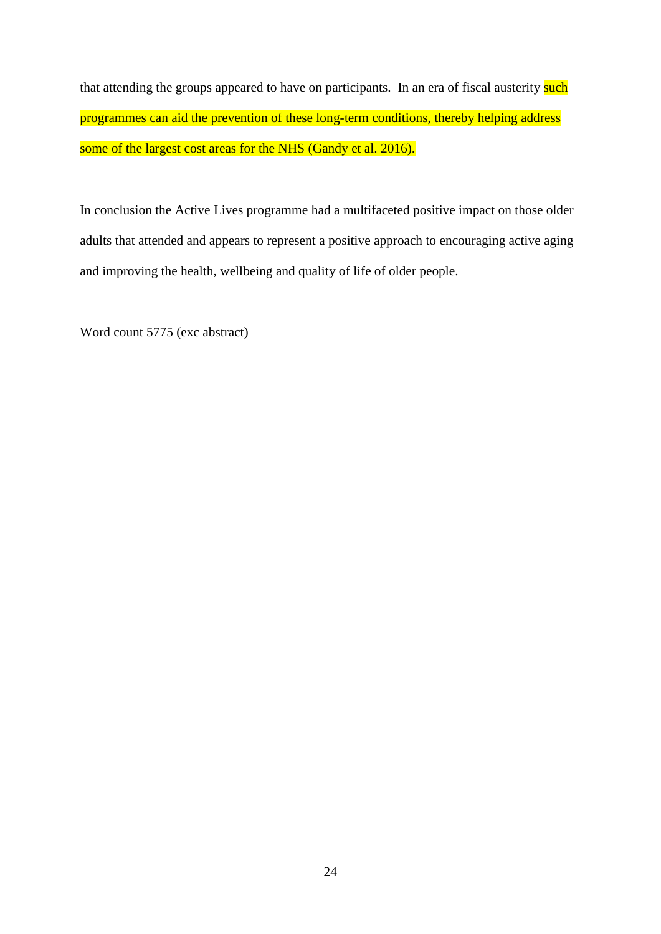that attending the groups appeared to have on participants. In an era of fiscal austerity such programmes can aid the prevention of these long-term conditions, thereby helping address some of the largest cost areas for the NHS (Gandy et al. 2016).

In conclusion the Active Lives programme had a multifaceted positive impact on those older adults that attended and appears to represent a positive approach to encouraging active aging and improving the health, wellbeing and quality of life of older people.

Word count 5775 (exc abstract)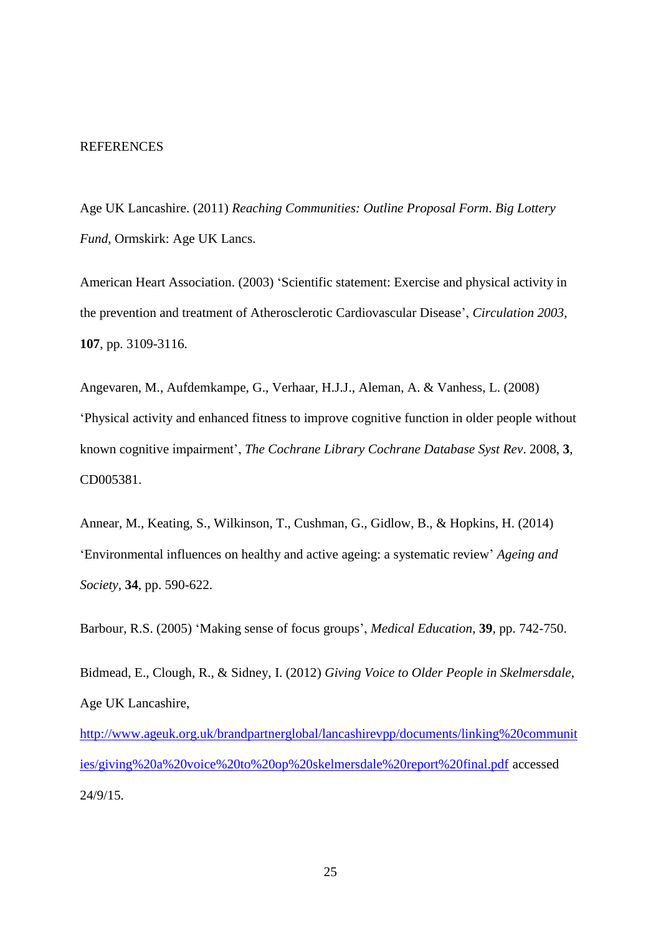#### **REFERENCES**

Age UK Lancashire. (2011) *Reaching Communities: Outline Proposal Form*. *Big Lottery Fund,* Ormskirk: Age UK Lancs.

American Heart Association. (2003) 'Scientific statement: Exercise and physical activity in the prevention and treatment of Atherosclerotic Cardiovascular Disease', *Circulation 2003,*  **107**, pp. 3109-3116.

Angevaren, M., Aufdemkampe, G., Verhaar, H.J.J., Aleman, A. & Vanhess, L. (2008) 'Physical activity and enhanced fitness to improve cognitive function in older people without known cognitive impairment', *The Cochrane Library [Cochrane Database Syst Rev](http://www.ncbi.nlm.nih.gov/pubmed/18646126)*. 2008, **3**, [CD005381.](http://www.ncbi.nlm.nih.gov/pubmed/18646126)

Annear, M., Keating, S., Wilkinson, T., Cushman, G., Gidlow, B., & Hopkins, H. (2014) 'Environmental influences on healthy and active ageing: a systematic review' *Ageing and Society,* **34**, pp. 590-622.

Barbour, R.S. (2005) 'Making sense of focus groups', *Medical Education*, **39**, pp. 742-750.

Bidmead, E., Clough, R., & Sidney, I. (2012) *Giving Voice to Older People in Skelmersdale*, Age UK Lancashire,

[http://www.ageuk.org.uk/brandpartnerglobal/lancashirevpp/documents/linking%20communit](http://www.ageuk.org.uk/brandpartnerglobal/lancashirevpp/documents/linking%20communities/giving%20a%20voice%20to%20op%20skelmersdale%20report%20final.pdf) [ies/giving%20a%20voice%20to%20op%20skelmersdale%20report%20final.pdf](http://www.ageuk.org.uk/brandpartnerglobal/lancashirevpp/documents/linking%20communities/giving%20a%20voice%20to%20op%20skelmersdale%20report%20final.pdf) accessed 24/9/15.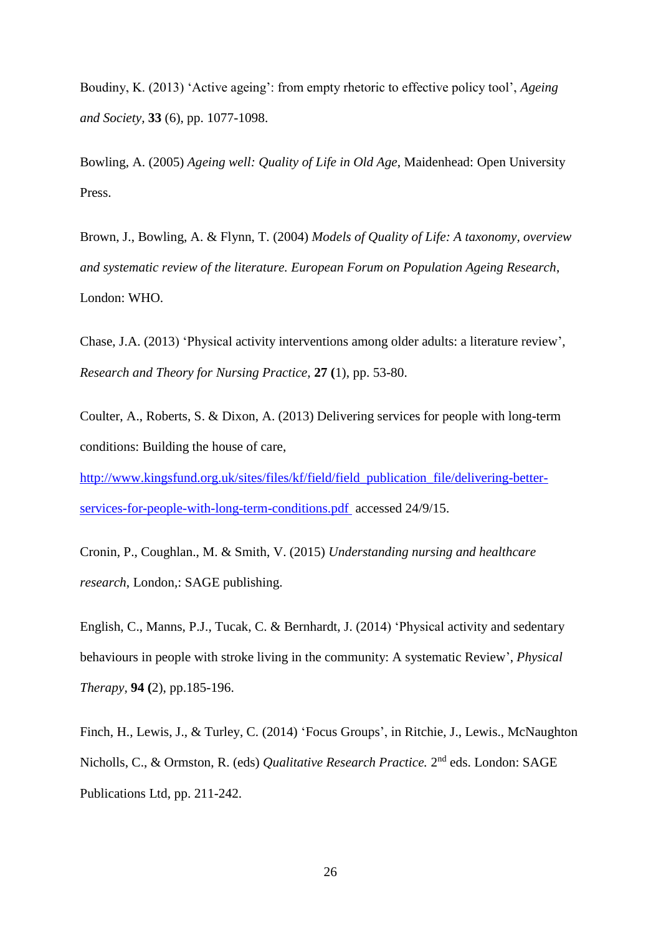Boudiny, K. (2013) 'Active ageing': from empty rhetoric to effective policy tool', *Ageing and Society,* **33** (6), pp. 1077-1098.

Bowling, A. (2005) *Ageing well: Quality of Life in Old Age*, Maidenhead: Open University Press.

Brown, J., Bowling, A. & Flynn, T. (2004) *Models of Quality of Life: A taxonomy, overview and systematic review of the literature. European Forum on Population Ageing Research*, London: WHO.

Chase, J.A. (2013) 'Physical activity interventions among older adults: a literature review', *Research and Theory for Nursing Practice,* **27 (**1), pp. 53-80.

Coulter, A., Roberts, S. & Dixon, A. (2013) Delivering services for people with long-term conditions: Building the house of care,

[http://www.kingsfund.org.uk/sites/files/kf/field/field\\_publication\\_file/delivering-better](http://www.kingsfund.org.uk/sites/files/kf/field/field_publication_file/delivering-better-services-for-people-with-long-term-conditions.pdf)[services-for-people-with-long-term-conditions.pdf](http://www.kingsfund.org.uk/sites/files/kf/field/field_publication_file/delivering-better-services-for-people-with-long-term-conditions.pdf) accessed 24/9/15.

Cronin, P., Coughlan., M. & Smith, V. (2015) *Understanding nursing and healthcare research*, London,: SAGE publishing.

English, C., Manns, P.J., Tucak, C. & Bernhardt, J. (2014) 'Physical activity and sedentary behaviours in people with stroke living in the community: A systematic Review', *Physical Therapy,* **94 (**2), pp.185-196.

Finch, H., Lewis, J., & Turley, C. (2014) 'Focus Groups', in Ritchie, J., Lewis., McNaughton Nicholls, C., & Ormston, R. (eds) *Qualitative Research Practice*. 2<sup>nd</sup> eds. London: SAGE Publications Ltd, pp. 211-242.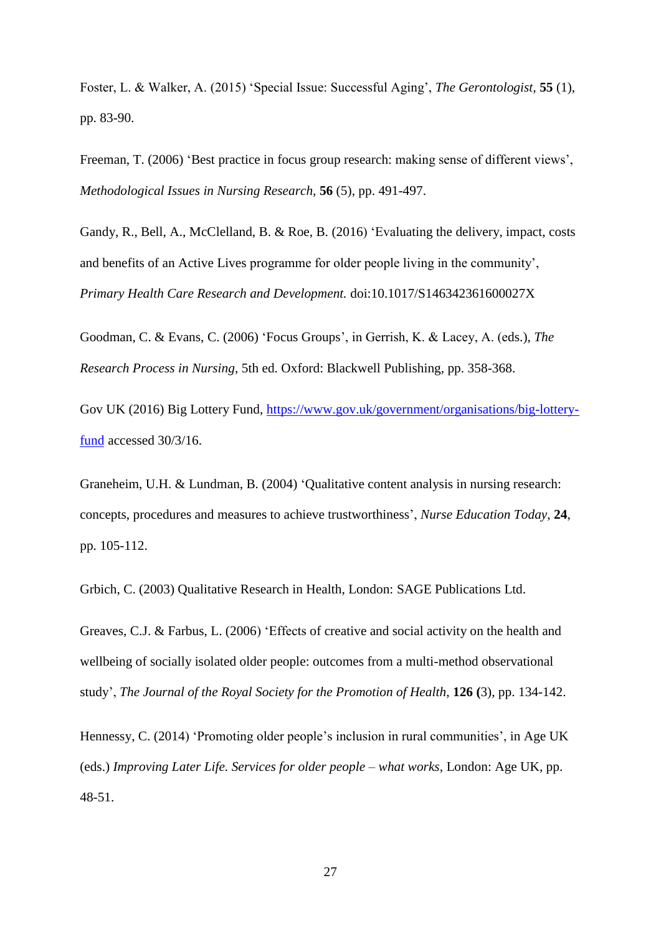Foster, L. & Walker, A. (2015) 'Special Issue: Successful Aging', *The Gerontologist,* **55** (1), pp. 83-90.

Freeman, T. (2006) 'Best practice in focus group research: making sense of different views', *Methodological Issues in Nursing Research,* **56** (5), pp. 491-497.

Gandy, R., Bell, A., McClelland, B. & Roe, B. (2016) 'Evaluating the delivery, impact, costs and benefits of an Active Lives programme for older people living in the community', *Primary Health Care Research and Development.* doi:10.1017/S146342361600027X

Goodman, C. & Evans, C. (2006) 'Focus Groups', in Gerrish, K. & Lacey, A. (eds.), *The Research Process in Nursing,* 5th ed. Oxford: Blackwell Publishing, pp. 358-368.

Gov UK (2016) Big Lottery Fund, [https://www.gov.uk/government/organisations/big-lottery](https://www.gov.uk/government/organisations/big-lottery-fund)[fund](https://www.gov.uk/government/organisations/big-lottery-fund) accessed 30/3/16.

Graneheim, U.H. & Lundman, B. (2004) 'Qualitative content analysis in nursing research: concepts, procedures and measures to achieve trustworthiness', *Nurse Education Today,* **24**, pp. 105-112.

Grbich, C. (2003) Qualitative Research in Health, London: SAGE Publications Ltd.

Greaves, C.J. & Farbus, L. (2006) 'Effects of creative and social activity on the health and wellbeing of socially isolated older people: outcomes from a multi-method observational study', *The Journal of the Royal Society for the Promotion of Health,* **126 (**3), pp. 134-142.

Hennessy, C. (2014) 'Promoting older people's inclusion in rural communities', in Age UK (eds.) *Improving Later Life. Services for older people – what works,* London: Age UK, pp. 48-51.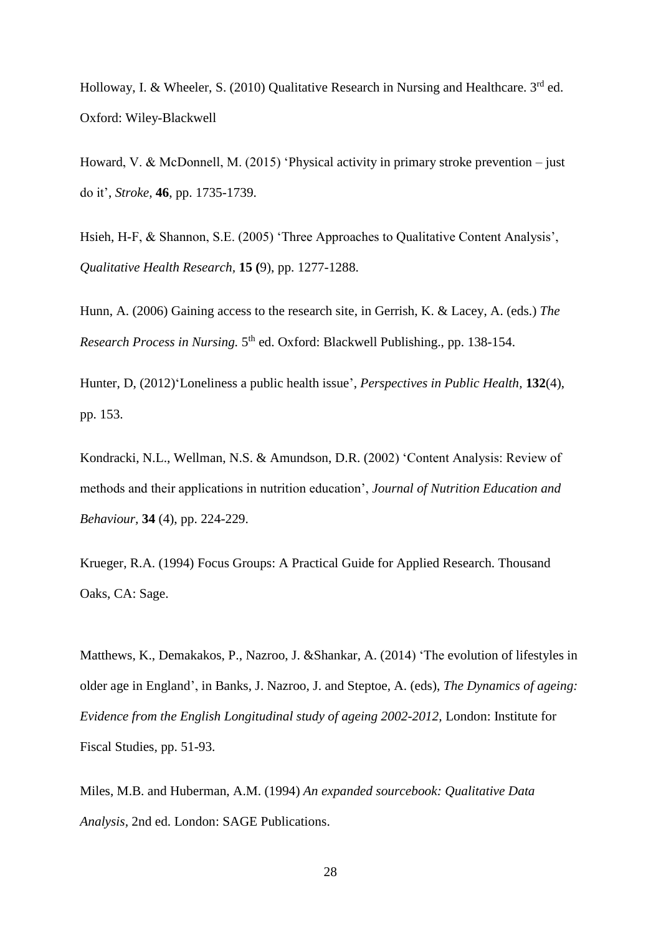Holloway, I. & Wheeler, S. (2010) Qualitative Research in Nursing and Healthcare.  $3<sup>rd</sup>$  ed. Oxford: Wiley-Blackwell

Howard, V. & McDonnell, M. (2015) 'Physical activity in primary stroke prevention – just do it', *Stroke,* **46**, pp. 1735-1739.

Hsieh, H-F, & Shannon, S.E. (2005) 'Three Approaches to Qualitative Content Analysis', *Qualitative Health Research,* **15 (**9), pp. 1277-1288.

Hunn, A. (2006) Gaining access to the research site, in Gerrish, K. & Lacey, A. (eds.) *The*  Research Process in Nursing. 5<sup>th</sup> ed. Oxford: Blackwell Publishing., pp. 138-154.

Hunter, D, (2012)'Loneliness a public health issue', *Perspectives in Public Health,* **132**(4), pp. 153.

Kondracki, N.L., Wellman, N.S. & Amundson, D.R. (2002) 'Content Analysis: Review of methods and their applications in nutrition education', *Journal of Nutrition Education and Behaviour,* **34** (4), pp. 224-229.

Krueger, R.A. (1994) Focus Groups: A Practical Guide for Applied Research. Thousand Oaks, CA: Sage.

Matthews, K., Demakakos, P., Nazroo, J. &Shankar, A. (2014) 'The evolution of lifestyles in older age in England', in Banks, J. Nazroo, J. and Steptoe, A. (eds), *The Dynamics of ageing: Evidence from the English Longitudinal study of ageing 2002-2012,* London: Institute for Fiscal Studies, pp. 51-93.

Miles, M.B. and Huberman, A.M. (1994) *An expanded sourcebook: Qualitative Data Analysis,* 2nd ed. London: SAGE Publications.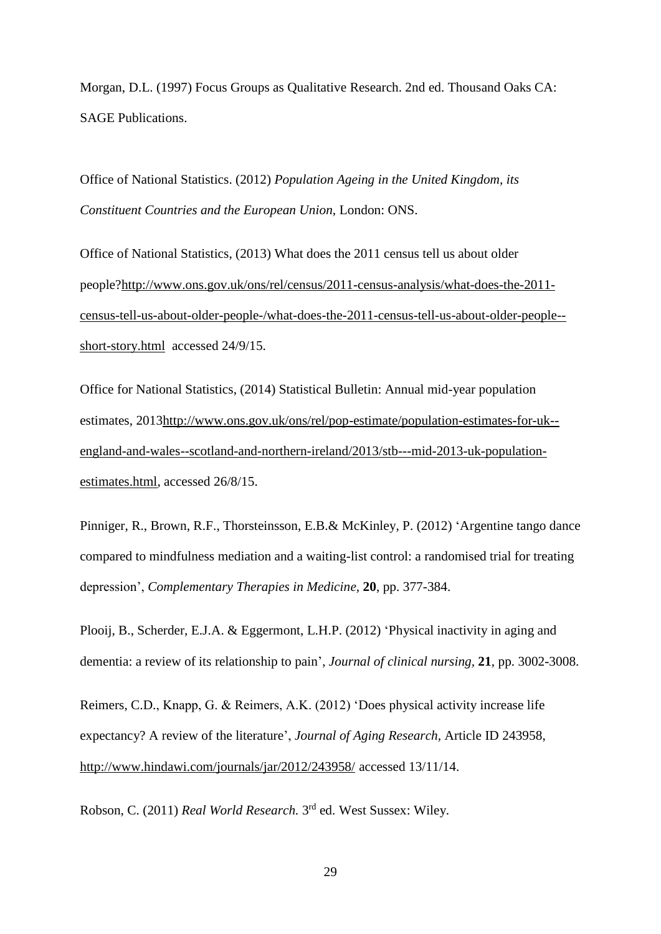Morgan, D.L. (1997) Focus Groups as Qualitative Research. 2nd ed. Thousand Oaks CA: SAGE Publications.

Office of National Statistics. (2012) *Population Ageing in the United Kingdom, its Constituent Countries and the European Union,* London: ONS.

Office of National Statistics, (2013) What does the 2011 census tell us about older people[?http://www.ons.gov.uk/ons/rel/census/2011-census-analysis/what-does-the-2011](http://www.ons.gov.uk/ons/rel/census/2011-census-analysis/what-does-the-2011-census-tell-us-about-older-people-/what-does-the-2011-census-tell-us-about-older-people--short-story.html) [census-tell-us-about-older-people-/what-does-the-2011-census-tell-us-about-older-people-](http://www.ons.gov.uk/ons/rel/census/2011-census-analysis/what-does-the-2011-census-tell-us-about-older-people-/what-does-the-2011-census-tell-us-about-older-people--short-story.html) [short-story.html](http://www.ons.gov.uk/ons/rel/census/2011-census-analysis/what-does-the-2011-census-tell-us-about-older-people-/what-does-the-2011-census-tell-us-about-older-people--short-story.html) accessed 24/9/15.

Office for National Statistics, (2014) Statistical Bulletin: Annual mid-year population estimates, 201[3http://www.ons.gov.uk/ons/rel/pop-estimate/population-estimates-for-uk-](http://www.ons.gov.uk/ons/rel/pop-estimate/population-estimates-for-uk--england-and-wales--scotland-and-northern-ireland/2013/stb---mid-2013-uk-population-estimates.html) [england-and-wales--scotland-and-northern-ireland/2013/stb---mid-2013-uk-population](http://www.ons.gov.uk/ons/rel/pop-estimate/population-estimates-for-uk--england-and-wales--scotland-and-northern-ireland/2013/stb---mid-2013-uk-population-estimates.html)[estimates.html,](http://www.ons.gov.uk/ons/rel/pop-estimate/population-estimates-for-uk--england-and-wales--scotland-and-northern-ireland/2013/stb---mid-2013-uk-population-estimates.html) accessed 26/8/15.

Pinniger, R., Brown, R.F., Thorsteinsson, E.B.& McKinley, P. (2012) 'Argentine tango dance compared to mindfulness mediation and a waiting-list control: a randomised trial for treating depression', *Complementary Therapies in Medicine,* **20**, pp. 377-384.

Plooij, B., Scherder, E.J.A. & Eggermont, L.H.P. (2012) 'Physical inactivity in aging and dementia: a review of its relationship to pain', *Journal of clinical nursing,* **21**, pp. 3002-3008.

Reimers, C.D., Knapp, G. & Reimers, A.K. (2012) 'Does physical activity increase life expectancy? A review of the literature', *Journal of Aging Research,* Article ID 243958, <http://www.hindawi.com/journals/jar/2012/243958/> accessed 13/11/14.

Robson, C. (2011) *Real World Research*. 3<sup>rd</sup> ed. West Sussex: Wiley.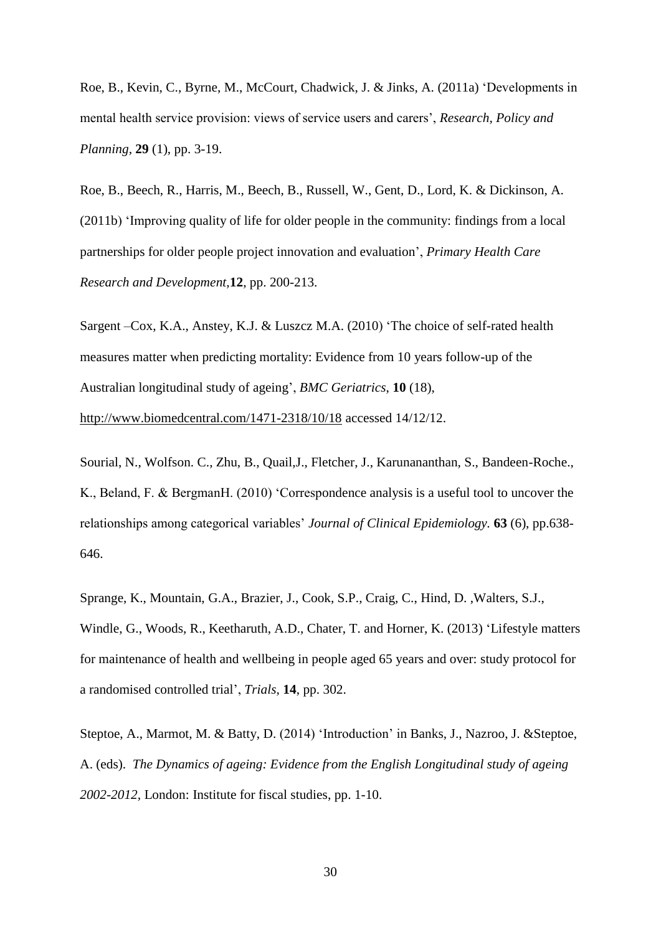Roe, B., Kevin, C., Byrne, M., McCourt, Chadwick, J. & Jinks, A. (2011a) 'Developments in mental health service provision: views of service users and carers', *Research, Policy and Planning,* **29** (1), pp. 3-19.

Roe, B., Beech, R., Harris, M., Beech, B., Russell, W., Gent, D., Lord, K. & Dickinson, A. (2011b) 'Improving quality of life for older people in the community: findings from a local partnerships for older people project innovation and evaluation', *Primary Health Care Research and Development,***12**, pp. 200-213.

Sargent –Cox, K.A., Anstey, K.J. & Luszcz M.A. (2010) 'The choice of self-rated health measures matter when predicting mortality: Evidence from 10 years follow-up of the Australian longitudinal study of ageing', *BMC Geriatrics*, **10** (18),

<http://www.biomedcentral.com/1471-2318/10/18> accessed 14/12/12.

Sourial, N., Wolfson. C., Zhu, B., Quail,J., Fletcher, J., Karunananthan, S., Bandeen-Roche., K., Beland, F. & BergmanH. (2010) 'Correspondence analysis is a useful tool to uncover the relationships among categorical variables' *Journal of Clinical Epidemiology.* **63** (6), pp.638- 646.

Sprange, K., Mountain, G.A., Brazier, J., Cook, S.P., Craig, C., Hind, D. ,Walters, S.J., Windle, G., Woods, R., Keetharuth, A.D., Chater, T. and Horner, K. (2013) 'Lifestyle matters for maintenance of health and wellbeing in people aged 65 years and over: study protocol for a randomised controlled trial', *Trials,* **14**, pp. 302.

Steptoe, A., Marmot, M. & Batty, D. (2014) 'Introduction' in Banks, J., Nazroo, J. &Steptoe, A. (eds). *The Dynamics of ageing: Evidence from the English Longitudinal study of ageing 2002-2012,* London: Institute for fiscal studies, pp. 1-10.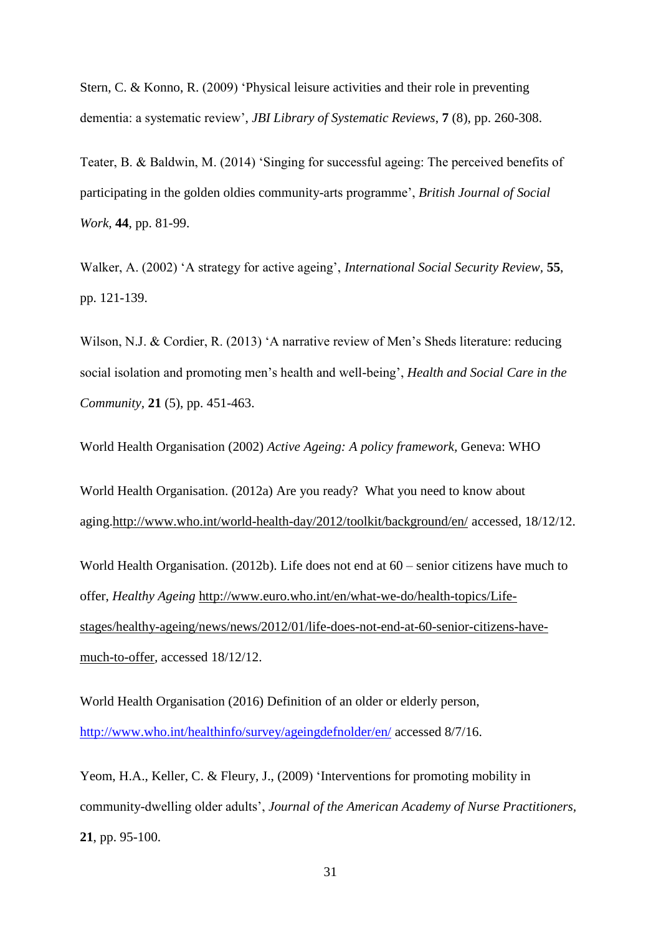Stern, C. & Konno, R. (2009) 'Physical leisure activities and their role in preventing dementia: a systematic review', *JBI Library of Systematic Reviews*, **7** (8), pp. 260-308.

Teater, B. & Baldwin, M. (2014) 'Singing for successful ageing: The perceived benefits of participating in the golden oldies community-arts programme', *British Journal of Social Work,* **44**, pp. 81-99.

Walker, A. (2002) 'A strategy for active ageing', *International Social Security Review,* **55**, pp. 121-139.

Wilson, N.J. & Cordier, R. (2013) 'A narrative review of Men's Sheds literature: reducing social isolation and promoting men's health and well-being', *Health and Social Care in the Community,* **21** (5), pp. 451-463.

World Health Organisation (2002) *Active Ageing: A policy framework,* Geneva: WHO

World Health Organisation. (2012a) Are you ready? What you need to know about aging[.http://www.who.int/world-health-day/2012/toolkit/background/en/](http://www.who.int/world-health-day/2012/toolkit/background/en/) accessed, 18/12/12.

World Health Organisation. (2012b). Life does not end at 60 – senior citizens have much to offer, *Healthy Ageing* [http://www.euro.who.int/en/what-we-do/health-topics/Life](http://www.euro.who.int/en/what-we-do/health-topics/Life-stages/healthy-ageing/news/news/2012/01/life-does-not-end-at-60-senior-citizens-have-much-to-offer)[stages/healthy-ageing/news/news/2012/01/life-does-not-end-at-60-senior-citizens-have](http://www.euro.who.int/en/what-we-do/health-topics/Life-stages/healthy-ageing/news/news/2012/01/life-does-not-end-at-60-senior-citizens-have-much-to-offer)[much-to-offer](http://www.euro.who.int/en/what-we-do/health-topics/Life-stages/healthy-ageing/news/news/2012/01/life-does-not-end-at-60-senior-citizens-have-much-to-offer)*,* accessed 18/12/12.

World Health Organisation (2016) Definition of an older or elderly person, <http://www.who.int/healthinfo/survey/ageingdefnolder/en/> accessed 8/7/16.

Yeom, H.A., Keller, C. & Fleury, J., (2009) 'Interventions for promoting mobility in community-dwelling older adults', *Journal of the American Academy of Nurse Practitioners,*  **21**, pp. 95-100.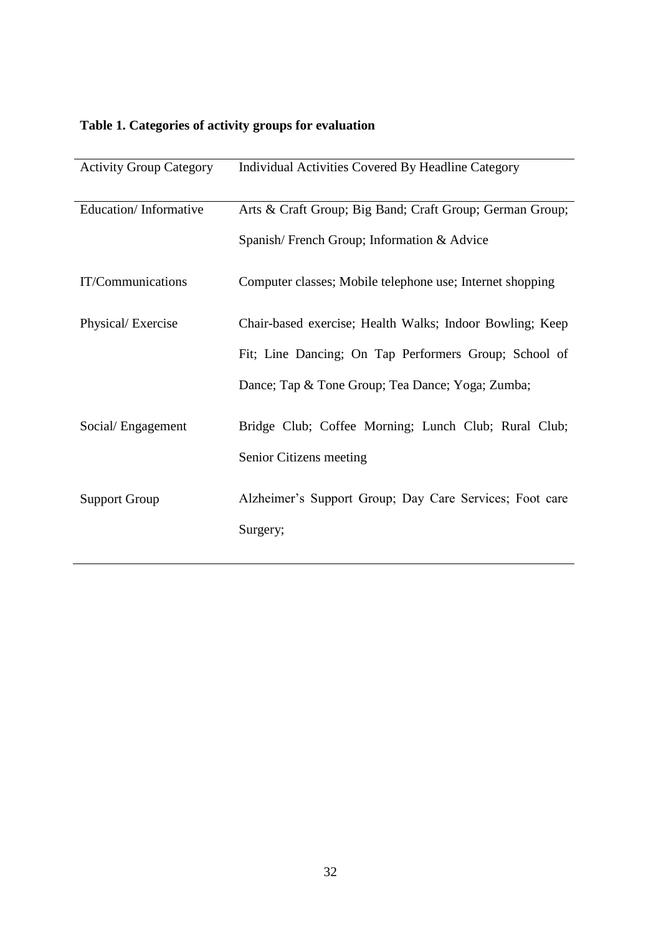## **Table 1. Categories of activity groups for evaluation**

| <b>Activity Group Category</b> | Individual Activities Covered By Headline Category        |
|--------------------------------|-----------------------------------------------------------|
| Education/Informative          | Arts & Craft Group; Big Band; Craft Group; German Group;  |
|                                | Spanish/French Group; Information & Advice                |
| IT/Communications              | Computer classes; Mobile telephone use; Internet shopping |
| Physical/Exercise              | Chair-based exercise; Health Walks; Indoor Bowling; Keep  |
|                                | Fit; Line Dancing; On Tap Performers Group; School of     |
|                                | Dance; Tap & Tone Group; Tea Dance; Yoga; Zumba;          |
| Social/Engagement              | Bridge Club; Coffee Morning; Lunch Club; Rural Club;      |
|                                | Senior Citizens meeting                                   |
| <b>Support Group</b>           | Alzheimer's Support Group; Day Care Services; Foot care   |
|                                | Surgery;                                                  |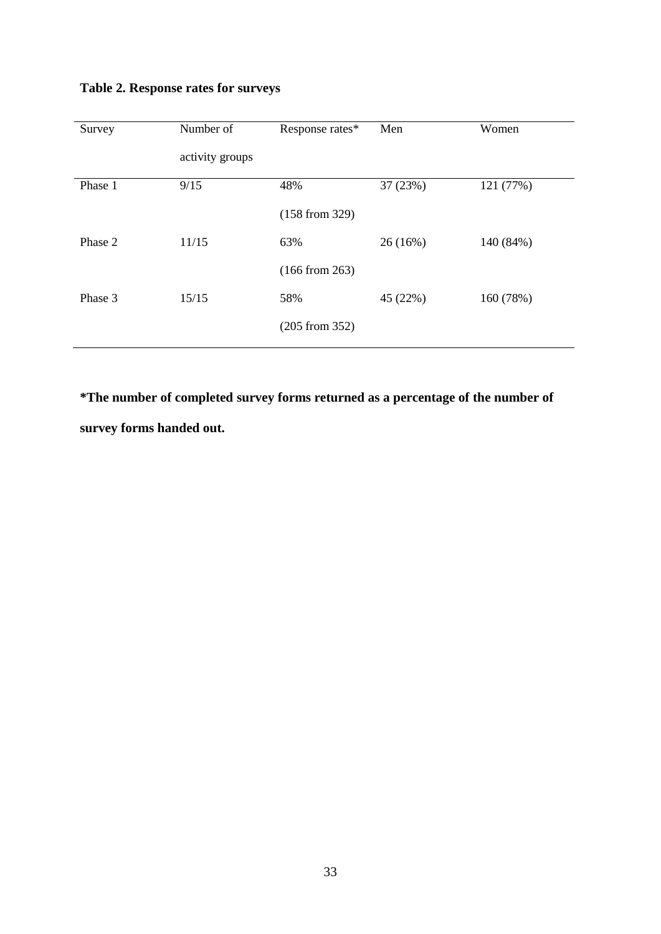| Survey  | Number of       | Response rates* | Men      | Women     |
|---------|-----------------|-----------------|----------|-----------|
|         | activity groups |                 |          |           |
| Phase 1 | 9/15            | 48%             | 37 (23%) | 121 (77%) |
|         |                 | (158 from 329)  |          |           |
| Phase 2 | 11/15           | 63%             | 26(16%)  | 140 (84%) |
|         |                 | (166 from 263)  |          |           |
| Phase 3 | 15/15           | 58%             | 45 (22%) | 160 (78%) |
|         |                 | (205 from 352)  |          |           |
|         |                 |                 |          |           |

### **Table 2. Response rates for surveys**

**\*The number of completed survey forms returned as a percentage of the number of survey forms handed out.**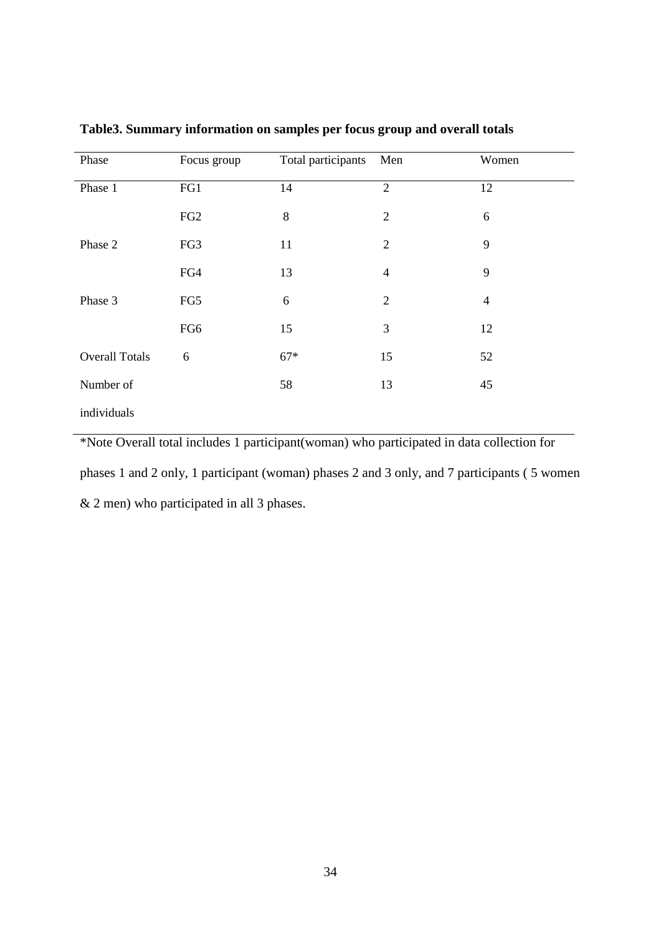| Phase                 | Focus group     | Total participants | Men            | Women          |
|-----------------------|-----------------|--------------------|----------------|----------------|
| Phase 1               | FG1             | 14                 | $\overline{2}$ | 12             |
|                       | FG <sub>2</sub> | $\,8\,$            | $\overline{2}$ | 6              |
| Phase 2               | FG3             | 11                 | $\overline{2}$ | 9              |
|                       | FG4             | 13                 | $\overline{4}$ | 9              |
| Phase 3               | FG5             | 6                  | $\overline{2}$ | $\overline{4}$ |
|                       | FG6             | 15                 | 3              | 12             |
| <b>Overall Totals</b> | 6               | $67*$              | 15             | 52             |
| Number of             |                 | 58                 | 13             | 45             |
| individuals           |                 |                    |                |                |

**Table3. Summary information on samples per focus group and overall totals**

\*Note Overall total includes 1 participant(woman) who participated in data collection for phases 1 and 2 only, 1 participant (woman) phases 2 and 3 only, and 7 participants ( 5 women & 2 men) who participated in all 3 phases.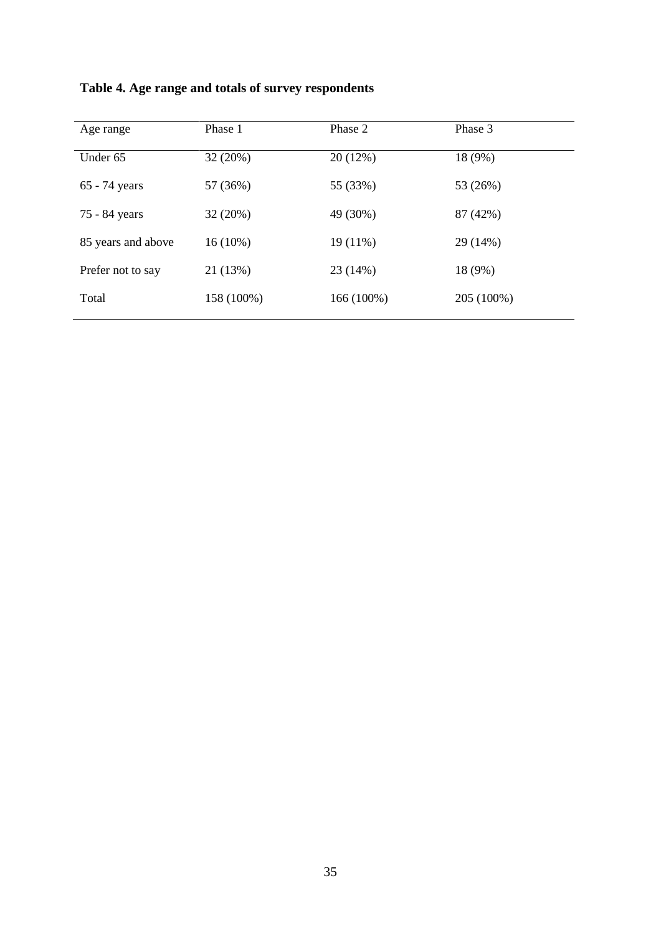| Age range          | Phase 1    | Phase 2    | Phase 3    |
|--------------------|------------|------------|------------|
| Under 65           | 32 (20%)   | 20 (12%)   | 18 (9%)    |
| 65 - 74 years      | 57 (36%)   | 55 (33%)   | 53 (26%)   |
| 75 - 84 years      | 32 (20%)   | 49 (30%)   | 87 (42%)   |
| 85 years and above | $16(10\%)$ | $19(11\%)$ | 29 (14%)   |
| Prefer not to say  | 21 (13%)   | 23(14%)    | 18 (9%)    |
| Total              | 158 (100%) | 166 (100%) | 205 (100%) |
|                    |            |            |            |

**Table 4. Age range and totals of survey respondents**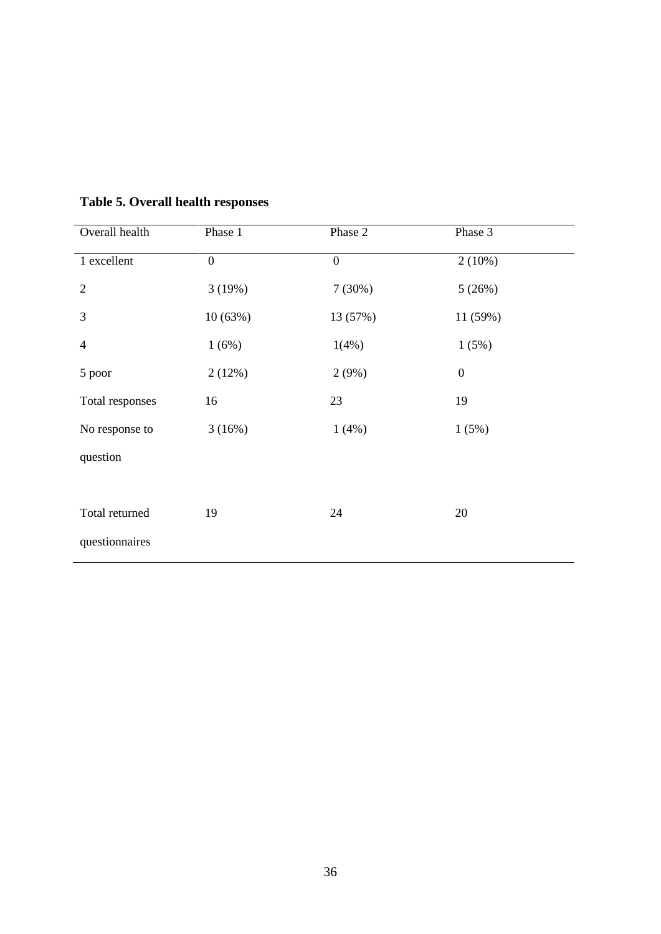| Overall health           | Phase 1          | Phase 2          | Phase 3          |
|--------------------------|------------------|------------------|------------------|
| 1 excellent              | $\boldsymbol{0}$ | $\boldsymbol{0}$ | $2(10\%)$        |
| $\overline{2}$           | 3(19%)           | 7(30%)           | 5(26%)           |
| 3                        | 10(63%)          | 13 (57%)         | 11 (59%)         |
| $\overline{\mathcal{A}}$ | 1(6%)            | 1(4%)            | 1(5%)            |
| 5 poor                   | 2(12%)           | 2(9%)            | $\boldsymbol{0}$ |
| Total responses          | 16               | 23               | 19               |
| No response to           | 3(16%)           | 1(4%)            | 1(5%)            |
| question                 |                  |                  |                  |
|                          |                  |                  |                  |
| Total returned           | 19               | 24               | 20               |
| questionnaires           |                  |                  |                  |

### **Table 5. Overall health responses**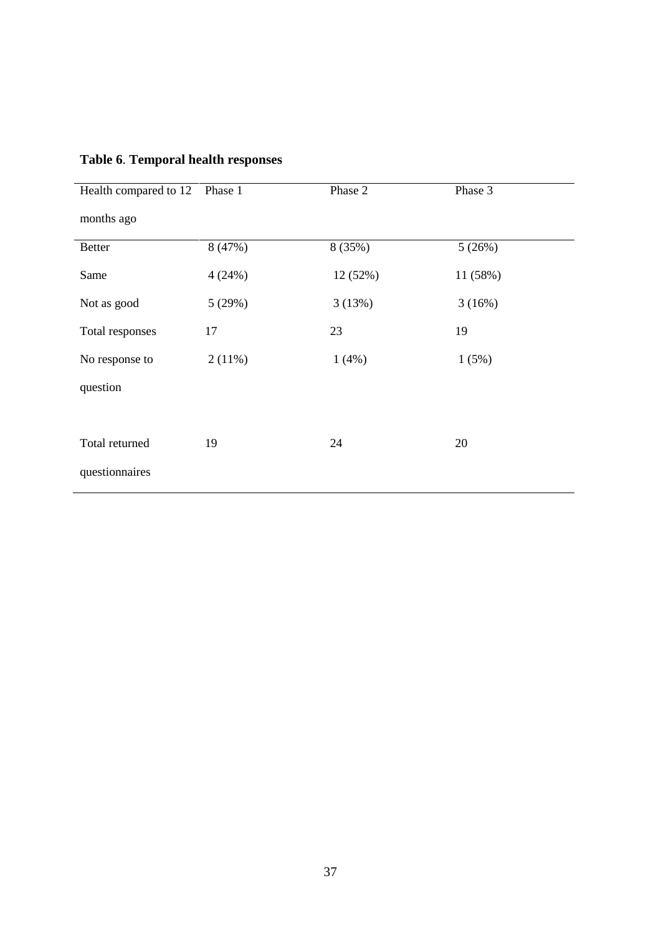| Health compared to 12 | Phase 1 | Phase 2  | Phase 3  |
|-----------------------|---------|----------|----------|
| months ago            |         |          |          |
| <b>Better</b>         | 8 (47%) | 8 (35%)  | 5(26%)   |
| Same                  | 4(24%)  | 12 (52%) | 11 (58%) |
| Not as good           | 5(29%)  | 3(13%)   | 3(16%)   |
| Total responses       | 17      | 23       | 19       |
| No response to        | 2(11%)  | 1(4%)    | 1(5%)    |
| question              |         |          |          |
|                       |         |          |          |
| Total returned        | 19      | 24       | 20       |
| questionnaires        |         |          |          |

## **Table 6**. **Temporal health responses**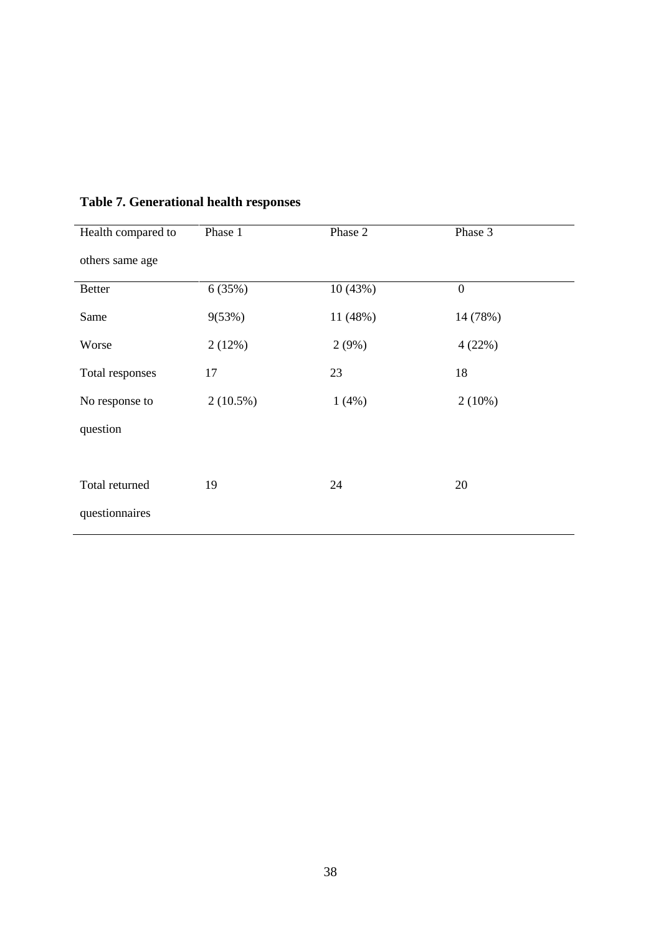| Health compared to | Phase 1     | Phase 2  | Phase 3          |
|--------------------|-------------|----------|------------------|
| others same age    |             |          |                  |
| <b>Better</b>      | 6(35%)      | 10(43%)  | $\boldsymbol{0}$ |
| Same               | 9(53%)      | 11 (48%) | 14 (78%)         |
| Worse              | 2(12%)      | 2(9%)    | 4(22%)           |
| Total responses    | 17          | 23       | 18               |
| No response to     | $2(10.5\%)$ | 1(4%)    | $2(10\%)$        |
| question           |             |          |                  |
|                    |             |          |                  |
| Total returned     | 19          | 24       | 20               |
| questionnaires     |             |          |                  |

### **Table 7. Generational health responses**